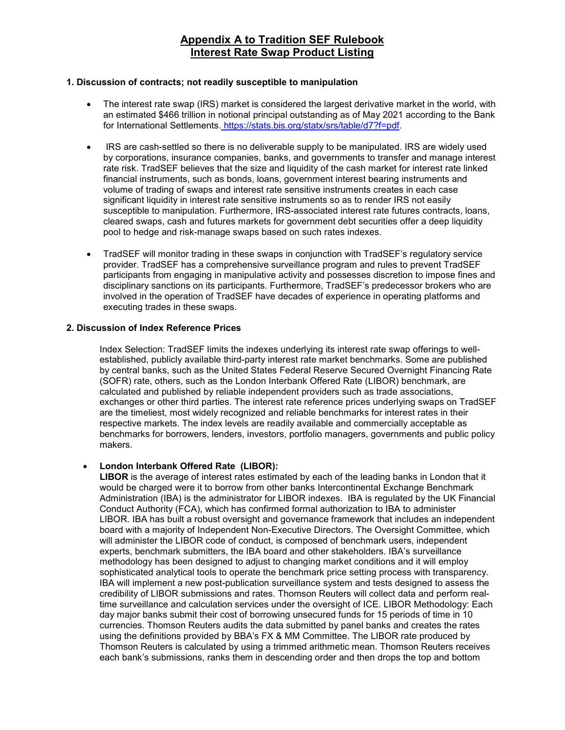## **Appendix A to Tradition SEF Rulebook Interest Rate Swap Product Listing**

#### **1. Discussion of contracts; not readily susceptible to manipulation**

- The interest rate swap (IRS) market is considered the largest derivative market in the world, with an estimated \$466 trillion in notional principal outstanding as of May 2021 according to the Bank for International Settlements. https://stats.bis.org/statx/srs/table/d7?f=pdf.
- IRS are cash-settled so there is no deliverable supply to be manipulated. IRS are widely used by corporations, insurance companies, banks, and governments to transfer and manage interest rate risk. TradSEF believes that the size and liquidity of the cash market for interest rate linked financial instruments, such as bonds, loans, government interest bearing instruments and volume of trading of swaps and interest rate sensitive instruments creates in each case significant liquidity in interest rate sensitive instruments so as to render IRS not easily susceptible to manipulation. Furthermore, IRS-associated interest rate futures contracts, loans, cleared swaps, cash and futures markets for government debt securities offer a deep liquidity pool to hedge and risk-manage swaps based on such rates indexes.
- TradSEF will monitor trading in these swaps in conjunction with TradSEF's regulatory service provider. TradSEF has a comprehensive surveillance program and rules to prevent TradSEF participants from engaging in manipulative activity and possesses discretion to impose fines and disciplinary sanctions on its participants. Furthermore, TradSEF's predecessor brokers who are involved in the operation of TradSEF have decades of experience in operating platforms and executing trades in these swaps.

## **2. Discussion of Index Reference Prices**

Index Selection: TradSEF limits the indexes underlying its interest rate swap offerings to wellestablished, publicly available third-party interest rate market benchmarks. Some are published by central banks, such as the United States Federal Reserve Secured Overnight Financing Rate (SOFR) rate, others, such as the London Interbank Offered Rate (LIBOR) benchmark, are calculated and published by reliable independent providers such as trade associations, exchanges or other third parties. The interest rate reference prices underlying swaps on TradSEF are the timeliest, most widely recognized and reliable benchmarks for interest rates in their respective markets. The index levels are readily available and commercially acceptable as benchmarks for borrowers, lenders, investors, portfolio managers, governments and public policy makers.

## • **London Interbank Offered Rate (LIBOR):**

**LIBOR** is the average of interest rates estimated by each of the leading banks in London that it would be charged were it to borrow from other banks Intercontinental Exchange Benchmark Administration (IBA) is the administrator for LIBOR indexes. IBA is regulated by the UK Financial Conduct Authority (FCA), which has confirmed formal authorization to IBA to administer LIBOR. IBA has built a robust oversight and governance framework that includes an independent board with a majority of Independent Non-Executive Directors. The Oversight Committee, which will administer the LIBOR code of conduct, is composed of benchmark users, independent experts, benchmark submitters, the IBA board and other stakeholders. IBA's surveillance methodology has been designed to adjust to changing market conditions and it will employ sophisticated analytical tools to operate the benchmark price setting process with transparency. IBA will implement a new post-publication surveillance system and tests designed to assess the credibility of LIBOR submissions and rates. Thomson Reuters will collect data and perform realtime surveillance and calculation services under the oversight of ICE. LIBOR Methodology: Each day major banks submit their cost of borrowing unsecured funds for 15 periods of time in 10 currencies. Thomson Reuters audits the data submitted by panel banks and creates the rates using the definitions provided by BBA's FX & MM Committee. The LIBOR rate produced by Thomson Reuters is calculated by using a trimmed arithmetic mean. Thomson Reuters receives each bank's submissions, ranks them in descending order and then drops the top and bottom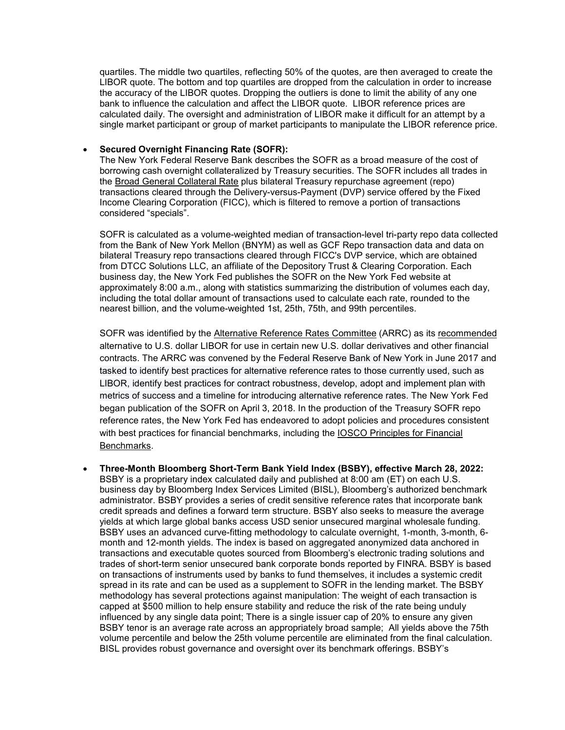quartiles. The middle two quartiles, reflecting 50% of the quotes, are then averaged to create the LIBOR quote. The bottom and top quartiles are dropped from the calculation in order to increase the accuracy of the LIBOR quotes. Dropping the outliers is done to limit the ability of any one bank to influence the calculation and affect the LIBOR quote. LIBOR reference prices are calculated daily. The oversight and administration of LIBOR make it difficult for an attempt by a single market participant or group of market participants to manipulate the LIBOR reference price.

### • **Secured Overnight Financing Rate (SOFR):**

The New York Federal Reserve Bank describes the SOFR as a broad measure of the cost of borrowing cash overnight collateralized by Treasury securities. The SOFR includes all trades in the Broad General [Collateral](https://apps.newyorkfed.org/markets/autorates/bgcr) Rate plus bilateral Treasury repurchase agreement (repo) transactions cleared through the Delivery-versus-Payment (DVP) service offered by the Fixed Income Clearing Corporation (FICC), which is filtered to remove a portion of transactions considered "specials".

SOFR is calculated as a volume-weighted median of transaction-level tri-party repo data collected from the Bank of New York Mellon (BNYM) as well as GCF Repo transaction data and data on bilateral Treasury repo transactions cleared through FICC's DVP service, which are obtained from DTCC Solutions LLC, an affiliate of the Depository Trust & Clearing Corporation. Each business day, the New York Fed publishes the SOFR on the New York Fed website at approximately 8:00 a.m., along with statistics summarizing the distribution of volumes each day, including the total dollar amount of transactions used to calculate each rate, rounded to the nearest billion, and the volume-weighted 1st, 25th, 75th, and 99th percentiles.

SOFR was identified by the Alternative Reference Rates [Committee](https://www.newyorkfed.org/arrc/index.html) (ARRC) as its [recommended](https://www.newyorkfed.org/medialibrary/microsites/arrc/files/2017/ARRC-press-release-Jun-22-2017.pdf) alternative to U.S. dollar LIBOR for use in certain new U.S. dollar derivatives and other financial contracts. The ARRC was convened by the Federal Reserve Bank of New York in June 2017 and tasked to identify best practices for alternative reference rates to those currently used, such as LIBOR, identify best practices for contract robustness, develop, adopt and implement plan with metrics of success and a timeline for introducing alternative reference rates. The New York Fed began publication of the SOFR on April 3, 2018. In the production of the Treasury SOFR repo reference rates, the New York Fed has endeavored to adopt policies and procedures consistent with best practices for financial benchmarks, including the IOSCO [Principles](https://www.iosco.org/library/pubdocs/pdf/IOSCOPD415.pdf) for Financial [Benchmarks.](https://www.iosco.org/library/pubdocs/pdf/IOSCOPD415.pdf)

• **Three-Month Bloomberg Short-Term Bank Yield Index (BSBY), effective March 28, 2022:** BSBY is a proprietary index calculated daily and published at 8:00 am (ET) on each U.S. business day by Bloomberg Index Services Limited (BISL), Bloomberg's authorized benchmark administrator. BSBY provides a series of credit sensitive reference rates that incorporate bank credit spreads and defines a forward term structure. BSBY also seeks to measure the average yields at which large global banks access USD senior unsecured marginal wholesale funding. BSBY uses an advanced curve-fitting methodology to calculate overnight, 1-month, 3-month, 6 month and 12-month yields. The index is based on aggregated anonymized data anchored in transactions and executable quotes sourced from Bloomberg's electronic trading solutions and trades of short-term senior unsecured bank corporate bonds reported by FINRA. BSBY is based on transactions of instruments used by banks to fund themselves, it includes a systemic credit spread in its rate and can be used as a supplement to SOFR in the lending market. The BSBY methodology has several protections against manipulation: The weight of each transaction is capped at \$500 million to help ensure stability and reduce the risk of the rate being unduly influenced by any single data point; There is a single issuer cap of 20% to ensure any given BSBY tenor is an average rate across an appropriately broad sample; All yields above the 75th volume percentile and below the 25th volume percentile are eliminated from the final calculation. BISL provides robust governance and oversight over its benchmark offerings. BSBY's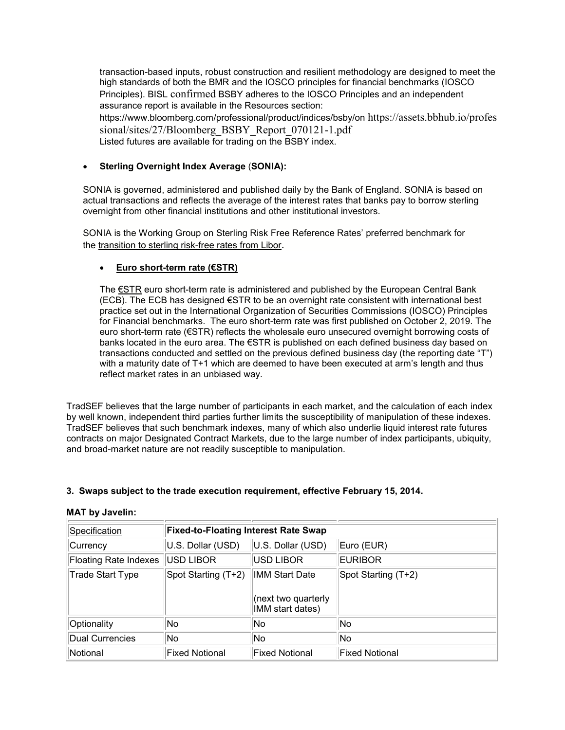transaction-based inputs, robust construction and resilient methodology are designed to meet the high standards of both the BMR and the IOSCO principles for financial benchmarks (IOSCO Principles). BISL [confirmed](https://www.bloomberg.com/company/press/bloomberg-confirms-its-bsby-short-term-credit-sensitive-index-adheres-to-iosco-principles/) BSBY adheres to the IOSCO Principles and an independent assurance report is available in the Resources section: https://www.bloomberg.com/professional/product/indices/bsby/on [https://assets.bbhub.io/profes](https://assets.bbhub.io/professional/sites/27/Bloomberg_BSBY_Report_070121-1.pdf) [sional/sites/27/Bloomberg\\_BSBY\\_Report\\_070121-1.pdf](https://assets.bbhub.io/professional/sites/27/Bloomberg_BSBY_Report_070121-1.pdf) Listed futures are available for trading on the BSBY index.

## • **Sterling Overnight Index Average** (**SONIA):**

SONIA is governed, administered and published daily by the Bank of England. SONIA is based on actual transactions and reflects the average of the interest rates that banks pay to borrow sterling overnight from other financial institutions and other institutional investors.

SONIA is the Working Group on Sterling Risk Free Reference Rates' preferred benchmark for the [transition to sterling risk-free rates from Libor.](https://www.bankofengland.co.uk/markets/transition-to-sterling-risk-free-rates-from-libor)

## • **Euro short-term rate (€STR)**

The €STR euro short-term rate is administered and published by the European Central Bank (ECB). The ECB has designed €STR to be an overnight rate consistent with international best practice set out in the International Organization of Securities Commissions (IOSCO) Principles for Financial benchmarks. The euro short-term rate was first published on October 2, 2019. The euro short-term rate (€STR) reflects the wholesale euro unsecured overnight borrowing costs of banks located in the euro area. The €STR is published on each defined business day based on transactions conducted and settled on the previous defined business day (the reporting date "T") with a maturity date of T+1 which are deemed to have been executed at arm's length and thus reflect market rates in an unbiased way.

TradSEF believes that the large number of participants in each market, and the calculation of each index by well known, independent third parties further limits the susceptibility of manipulation of these indexes. TradSEF believes that such benchmark indexes, many of which also underlie liquid interest rate futures contracts on major Designated Contract Markets, due to the large number of index participants, ubiquity, and broad-market nature are not readily susceptible to manipulation.

## **3. Swaps subject to the trade execution requirement, effective February 15, 2014.**

| <b>Specification</b>         | <b>Fixed-to-Floating Interest Rate Swap</b> |                                                           |                       |
|------------------------------|---------------------------------------------|-----------------------------------------------------------|-----------------------|
| Currency                     | U.S. Dollar (USD)                           | U.S. Dollar (USD)                                         | Euro (EUR)            |
| <b>Floating Rate Indexes</b> | USD LIBOR                                   | USD LIBOR                                                 | <b>EURIBOR</b>        |
| <b>Trade Start Type</b>      | Spot Starting (T+2)                         | IMM Start Date<br>(next two quarterly<br>IMM start dates) | Spot Starting (T+2)   |
| Optionality                  | No.                                         | No.                                                       | No.                   |
| Dual Currencies              | No.                                         | No.                                                       | No                    |
| Notional                     | Fixed Notional                              | Fixed Notional                                            | <b>Fixed Notional</b> |

#### **MAT by Javelin:**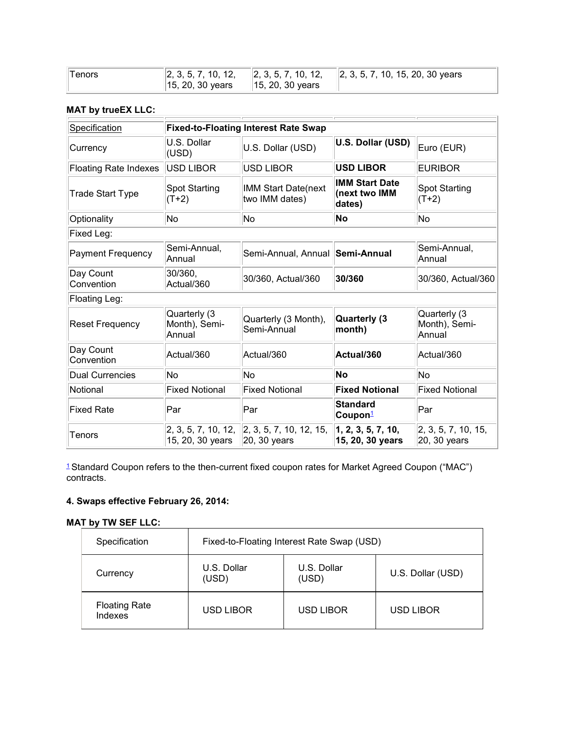| Tenors |                                             | $\vert$ 2, 3, 5, 7, 10, 12, $\vert$ 2, 3, 5, 7, 10, 12, $\vert$ 2, 3, 5, 7, 10, 15, 20, 30 years |
|--------|---------------------------------------------|--------------------------------------------------------------------------------------------------|
|        | $\ $ 15, 20, 30 years $\ $ 15, 20, 30 years |                                                                                                  |

## **MAT by trueEX LLC:**

| Specification                |                                         | <b>Fixed-to-Floating Interest Rate Swap</b>                                           |                                                  |                                         |
|------------------------------|-----------------------------------------|---------------------------------------------------------------------------------------|--------------------------------------------------|-----------------------------------------|
|                              | U.S. Dollar                             |                                                                                       | U.S. Dollar (USD)                                |                                         |
| Currency                     | (USD)                                   | U.S. Dollar (USD)                                                                     |                                                  | Euro (EUR)                              |
| <b>Floating Rate Indexes</b> | USD LIBOR                               | <b>USD LIBOR</b>                                                                      | <b>USD LIBOR</b>                                 | <b>EURIBOR</b>                          |
| Trade Start Type             | <b>Spot Starting</b><br>$(T+2)$         | IMM Start Date(next<br>two IMM dates)                                                 | <b>IMM Start Date</b><br>(next two IMM<br>dates) | <b>Spot Starting</b><br>$(T+2)$         |
| Optionality                  | No                                      | No                                                                                    | <b>No</b>                                        | No                                      |
| Fixed Leg:                   |                                         |                                                                                       |                                                  |                                         |
| <b>Payment Frequency</b>     | Semi-Annual,<br>Annual                  | Semi-Annual, Annual   Semi-Annual                                                     |                                                  | Semi-Annual,<br>Annual                  |
| Day Count<br>Convention      | 30/360,<br>Actual/360                   | 30/360, Actual/360                                                                    | 30/360                                           | 30/360, Actual/360                      |
| Floating Leg:                |                                         |                                                                                       |                                                  |                                         |
| <b>Reset Frequency</b>       | Quarterly (3<br>Month), Semi-<br>Annual | Quarterly (3 Month),<br>Semi-Annual                                                   | <b>Quarterly (3)</b><br>month)                   | Quarterly (3<br>Month), Semi-<br>Annual |
| Day Count<br>Convention      | Actual/360                              | Actual/360                                                                            | Actual/360                                       | Actual/360                              |
| <b>Dual Currencies</b>       | No                                      | No                                                                                    | <b>No</b>                                        | No                                      |
| Notional                     | <b>Fixed Notional</b>                   | <b>Fixed Notional</b>                                                                 | <b>Fixed Notional</b>                            | <b>Fixed Notional</b>                   |
| <b>Fixed Rate</b>            | Par                                     | Par                                                                                   | <b>Standard</b><br>Coupon <sup>1</sup>           | Par                                     |
| Tenors                       | 15, 20, 30 years                        | $\vert 2, 3, 5, 7, 10, 12, \vert \vert 2, 3, 5, 7, 10, 12, 15, \vert$<br>20, 30 years | 1, 2, 3, 5, 7, 10,<br>15, 20, 30 years           | 2, 3, 5, 7, 10, 15,<br>20, 30 years     |

[1](http://www.cftc.gov/PressRoom/PressReleases/pr6838-14#P79_2511) Standard Coupon refers to the then-current fixed coupon rates for Market Agreed Coupon ("MAC") contracts.

## **4. Swaps effective February 26, 2014:**

## **MAT by TW SEF LLC:**

| Specification                   | Fixed-to-Floating Interest Rate Swap (USD) |                      |                   |
|---------------------------------|--------------------------------------------|----------------------|-------------------|
| Currency                        | U.S. Dollar<br>(USD)                       | U.S. Dollar<br>(USD) | U.S. Dollar (USD) |
| <b>Floating Rate</b><br>Indexes | <b>USD LIBOR</b>                           | <b>USD LIBOR</b>     | USD LIBOR         |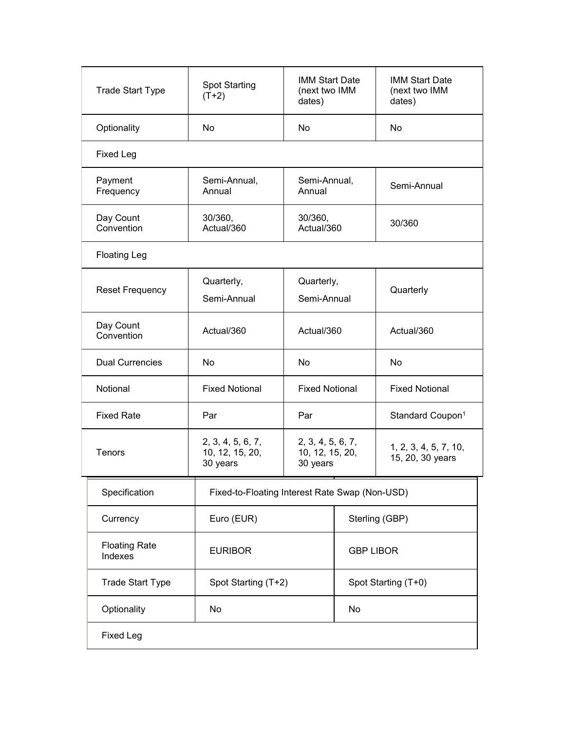| <b>Trade Start Type</b>         | <b>Spot Starting</b><br>$(T+2)$                  | <b>IMM Start Date</b><br>(next two IMM<br>dates) |  | <b>IMM Start Date</b><br>(next two IMM<br>dates) |
|---------------------------------|--------------------------------------------------|--------------------------------------------------|--|--------------------------------------------------|
| Optionality                     | <b>No</b>                                        | <b>No</b>                                        |  | <b>No</b>                                        |
| <b>Fixed Leg</b>                |                                                  |                                                  |  |                                                  |
| Payment<br>Frequency            | Semi-Annual,<br>Annual                           | Semi-Annual,<br>Annual                           |  | Semi-Annual                                      |
| Day Count<br>Convention         | 30/360,<br>Actual/360                            | 30/360,<br>Actual/360                            |  | 30/360                                           |
| <b>Floating Leg</b>             |                                                  |                                                  |  |                                                  |
| <b>Reset Frequency</b>          | Quarterly,<br>Semi-Annual                        | Quarterly,<br>Semi-Annual                        |  | Quarterly                                        |
| Day Count<br>Convention         | Actual/360                                       | Actual/360                                       |  | Actual/360                                       |
| <b>Dual Currencies</b>          | <b>No</b>                                        | <b>No</b>                                        |  | <b>No</b>                                        |
| Notional                        | <b>Fixed Notional</b>                            | <b>Fixed Notional</b>                            |  | <b>Fixed Notional</b>                            |
| <b>Fixed Rate</b>               | Par                                              | Par                                              |  | Standard Coupon <sup>1</sup>                     |
| Tenors                          | 2, 3, 4, 5, 6, 7,<br>10, 12, 15, 20,<br>30 years | 2, 3, 4, 5, 6, 7,<br>10, 12, 15, 20,<br>30 years |  | 1, 2, 3, 4, 5, 7, 10,<br>15, 20, 30 years        |
| Specification                   |                                                  | Fixed-to-Floating Interest Rate Swap (Non-USD)   |  |                                                  |
| Currency                        | Euro (EUR)                                       |                                                  |  | Sterling (GBP)                                   |
| <b>Floating Rate</b><br>Indexes | <b>EURIBOR</b>                                   |                                                  |  | <b>GBP LIBOR</b>                                 |
| <b>Trade Start Type</b>         |                                                  | Spot Starting (T+2)                              |  | Spot Starting (T+0)                              |
| Optionality                     | No                                               |                                                  |  |                                                  |
| <b>Fixed Leg</b>                |                                                  |                                                  |  |                                                  |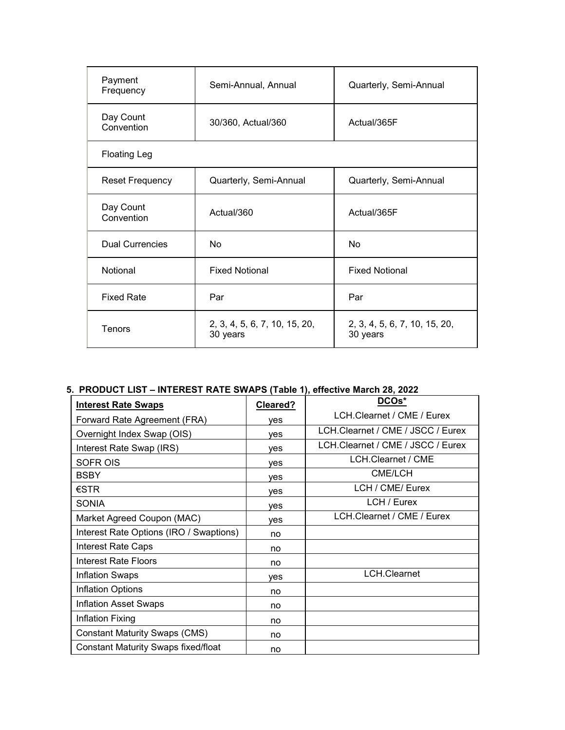| Payment<br>Frequency    | Semi-Annual, Annual                       | Quarterly, Semi-Annual                    |
|-------------------------|-------------------------------------------|-------------------------------------------|
| Day Count<br>Convention | 30/360, Actual/360                        | Actual/365F                               |
| <b>Floating Leg</b>     |                                           |                                           |
| <b>Reset Frequency</b>  | Quarterly, Semi-Annual                    | Quarterly, Semi-Annual                    |
| Day Count<br>Convention | Actual/360                                | Actual/365F                               |
| <b>Dual Currencies</b>  | No                                        | <b>No</b>                                 |
| Notional                | <b>Fixed Notional</b>                     | <b>Fixed Notional</b>                     |
| <b>Fixed Rate</b>       | Par                                       | Par                                       |
| Tenors                  | 2, 3, 4, 5, 6, 7, 10, 15, 20,<br>30 years | 2, 3, 4, 5, 6, 7, 10, 15, 20,<br>30 years |

# **5. PRODUCT LIST – INTEREST RATE SWAPS (Table 1), effective March 28, 2022**

| <b>Interest Rate Swaps</b>                 | Cleared? | DCOs*                             |
|--------------------------------------------|----------|-----------------------------------|
| Forward Rate Agreement (FRA)               | ves      | LCH.Clearnet / CME / Eurex        |
| Overnight Index Swap (OIS)                 | ves      | LCH.Clearnet / CME / JSCC / Eurex |
| Interest Rate Swap (IRS)                   | ves      | LCH.Clearnet / CME / JSCC / Eurex |
| <b>SOFR OIS</b>                            | ves      | LCH.Clearnet / CME                |
| <b>BSBY</b>                                | ves      | CME/LCH                           |
| €STR                                       | ves      | LCH / CME/ Eurex                  |
| SONIA                                      | ves      | LCH / Eurex                       |
| Market Agreed Coupon (MAC)                 | ves      | LCH.Clearnet / CME / Eurex        |
| Interest Rate Options (IRO / Swaptions)    | no       |                                   |
| Interest Rate Caps                         | no       |                                   |
| Interest Rate Floors                       | no       |                                   |
| <b>Inflation Swaps</b>                     | ves      | LCH.Clearnet                      |
| Inflation Options                          | no       |                                   |
| <b>Inflation Asset Swaps</b>               | no       |                                   |
| Inflation Fixing                           | no       |                                   |
| <b>Constant Maturity Swaps (CMS)</b>       | no       |                                   |
| <b>Constant Maturity Swaps fixed/float</b> | no       |                                   |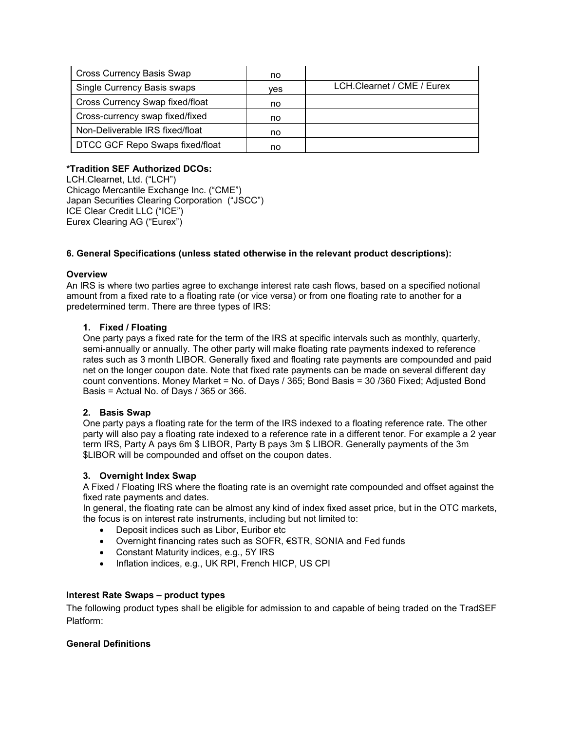| <b>Cross Currency Basis Swap</b> | no  |                            |
|----------------------------------|-----|----------------------------|
| Single Currency Basis swaps      | ves | LCH.Clearnet / CME / Eurex |
| Cross Currency Swap fixed/float  | no  |                            |
| Cross-currency swap fixed/fixed  | no  |                            |
| Non-Deliverable IRS fixed/float  | no  |                            |
| DTCC GCF Repo Swaps fixed/float  | no  |                            |

## **\*Tradition SEF Authorized DCOs:**

LCH.Clearnet, Ltd. ("LCH") Chicago Mercantile Exchange Inc. ("CME") Japan Securities Clearing Corporation ("JSCC") ICE Clear Credit LLC ("ICE") Eurex Clearing AG ("Eurex")

## **6. General Specifications (unless stated otherwise in the relevant product descriptions):**

## **Overview**

An IRS is where two parties agree to exchange interest rate cash flows, based on a specified notional amount from a fixed rate to a floating rate (or vice versa) or from one floating rate to another for a predetermined term. There are three types of IRS:

## **1. Fixed / Floating**

One party pays a fixed rate for the term of the IRS at specific intervals such as monthly, quarterly, semi-annually or annually. The other party will make floating rate payments indexed to reference rates such as 3 month LIBOR. Generally fixed and floating rate payments are compounded and paid net on the longer coupon date. Note that fixed rate payments can be made on several different day count conventions. Money Market = No. of Days / 365; Bond Basis = 30 /360 Fixed; Adjusted Bond Basis = Actual No. of Days / 365 or 366.

## **2. Basis Swap**

One party pays a floating rate for the term of the IRS indexed to a floating reference rate. The other party will also pay a floating rate indexed to a reference rate in a different tenor. For example a 2 year term IRS, Party A pays 6m \$ LIBOR, Party B pays 3m \$ LIBOR. Generally payments of the 3m \$LIBOR will be compounded and offset on the coupon dates.

#### **3. Overnight Index Swap**

A Fixed / Floating IRS where the floating rate is an overnight rate compounded and offset against the fixed rate payments and dates.

In general, the floating rate can be almost any kind of index fixed asset price, but in the OTC markets, the focus is on interest rate instruments, including but not limited to:

- Deposit indices such as Libor, Euribor etc
- Overnight financing rates such as SOFR, €STR, SONIA and Fed funds
- Constant Maturity indices, e.g., 5Y IRS
- Inflation indices, e.g., UK RPI, French HICP, US CPI

#### **Interest Rate Swaps – product types**

The following product types shall be eligible for admission to and capable of being traded on the TradSEF Platform:

#### **General Definitions**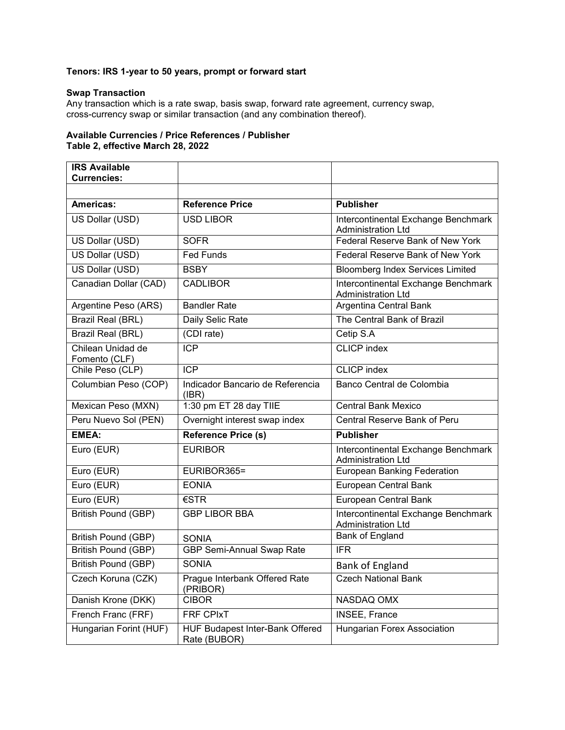## **Tenors: IRS 1-year to 50 years, prompt or forward start**

## **Swap Transaction**

Any transaction which is a rate swap, basis swap, forward rate agreement, currency swap, cross-currency swap or similar transaction (and any combination thereof).

## **Available Currencies / Price References / Publisher Table 2, effective March 28, 2022**

| <b>IRS Available</b><br><b>Currencies:</b> |                                                        |                                                                  |
|--------------------------------------------|--------------------------------------------------------|------------------------------------------------------------------|
|                                            |                                                        |                                                                  |
| Americas:                                  | <b>Reference Price</b>                                 | <b>Publisher</b>                                                 |
| US Dollar (USD)                            | <b>USD LIBOR</b>                                       | Intercontinental Exchange Benchmark<br><b>Administration Ltd</b> |
| US Dollar (USD)                            | <b>SOFR</b>                                            | Federal Reserve Bank of New York                                 |
| US Dollar (USD)                            | <b>Fed Funds</b>                                       | Federal Reserve Bank of New York                                 |
| US Dollar (USD)                            | <b>BSBY</b>                                            | <b>Bloomberg Index Services Limited</b>                          |
| Canadian Dollar (CAD)                      | <b>CADLIBOR</b>                                        | Intercontinental Exchange Benchmark<br><b>Administration Ltd</b> |
| Argentine Peso (ARS)                       | <b>Bandler Rate</b>                                    | Argentina Central Bank                                           |
| Brazil Real (BRL)                          | Daily Selic Rate                                       | The Central Bank of Brazil                                       |
| Brazil Real (BRL)                          | (CDI rate)                                             | Cetip S.A                                                        |
| Chilean Unidad de<br>Fomento (CLF)         | <b>ICP</b>                                             | <b>CLICP</b> index                                               |
| Chile Peso (CLP)                           | <b>ICP</b>                                             | <b>CLICP</b> index                                               |
| Columbian Peso (COP)                       | Indicador Bancario de Referencia<br>(IBR)              | Banco Central de Colombia                                        |
| Mexican Peso (MXN)                         | 1:30 pm ET 28 day TIIE                                 | <b>Central Bank Mexico</b>                                       |
| Peru Nuevo Sol (PEN)                       | Overnight interest swap index                          | Central Reserve Bank of Peru                                     |
| <b>EMEA:</b>                               | <b>Reference Price (s)</b>                             | <b>Publisher</b>                                                 |
| Euro (EUR)                                 | <b>EURIBOR</b>                                         | Intercontinental Exchange Benchmark<br><b>Administration Ltd</b> |
| Euro (EUR)                                 | EURIBOR365=                                            | <b>European Banking Federation</b>                               |
| Euro (EUR)                                 | <b>EONIA</b>                                           | <b>European Central Bank</b>                                     |
| Euro (EUR)                                 | $\epsilon$ STR                                         | European Central Bank                                            |
| <b>British Pound (GBP)</b>                 | <b>GBP LIBOR BBA</b>                                   | Intercontinental Exchange Benchmark<br><b>Administration Ltd</b> |
| British Pound (GBP)                        | <b>SONIA</b>                                           | <b>Bank of England</b>                                           |
| <b>British Pound (GBP)</b>                 | GBP Semi-Annual Swap Rate                              | <b>IFR</b>                                                       |
| British Pound (GBP)                        | <b>SONIA</b>                                           | Bank of England                                                  |
| Czech Koruna (CZK)                         | Prague Interbank Offered Rate<br>(PRIBOR)              | <b>Czech National Bank</b>                                       |
| Danish Krone (DKK)                         | <b>CIBOR</b>                                           | NASDAQ OMX                                                       |
| French Franc (FRF)                         | FRF CPIxT                                              | INSEE, France                                                    |
| Hungarian Forint (HUF)                     | <b>HUF Budapest Inter-Bank Offered</b><br>Rate (BUBOR) | <b>Hungarian Forex Association</b>                               |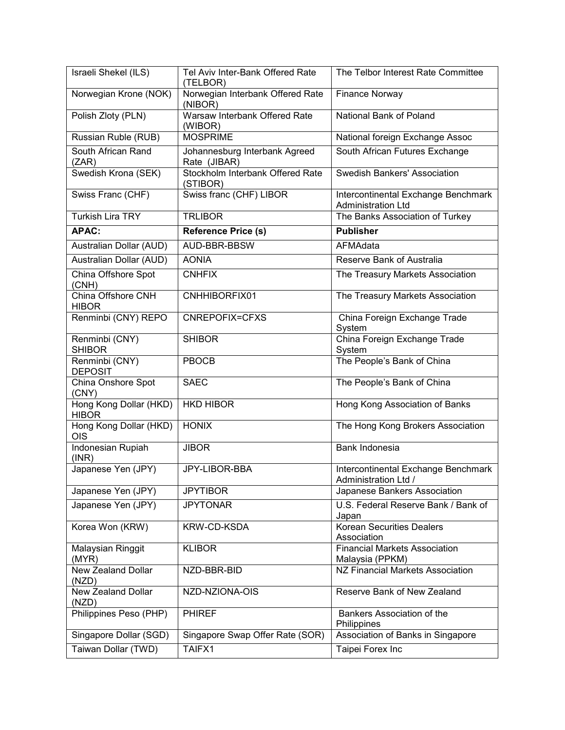| Israeli Shekel (ILS)                   | Tel Aviv Inter-Bank Offered Rate<br>(TELBOR)  | The Telbor Interest Rate Committee                               |
|----------------------------------------|-----------------------------------------------|------------------------------------------------------------------|
| Norwegian Krone (NOK)                  | Norwegian Interbank Offered Rate<br>(NIBOR)   | <b>Finance Norway</b>                                            |
| Polish Zloty (PLN)                     | Warsaw Interbank Offered Rate<br>(WIBOR)      | National Bank of Poland                                          |
| Russian Ruble (RUB)                    | <b>MOSPRIME</b>                               | National foreign Exchange Assoc                                  |
| South African Rand<br>(ZAR)            | Johannesburg Interbank Agreed<br>Rate (JIBAR) | South African Futures Exchange                                   |
| Swedish Krona (SEK)                    | Stockholm Interbank Offered Rate<br>(STIBOR)  | <b>Swedish Bankers' Association</b>                              |
| Swiss Franc (CHF)                      | Swiss franc (CHF) LIBOR                       | Intercontinental Exchange Benchmark<br><b>Administration Ltd</b> |
| <b>Turkish Lira TRY</b>                | <b>TRLIBOR</b>                                | The Banks Association of Turkey                                  |
| <b>APAC:</b>                           | Reference Price (s)                           | <b>Publisher</b>                                                 |
| Australian Dollar (AUD)                | AUD-BBR-BBSW                                  | AFMAdata                                                         |
| Australian Dollar (AUD)                | <b>AONIA</b>                                  | Reserve Bank of Australia                                        |
| China Offshore Spot<br>(CNH)           | <b>CNHFIX</b>                                 | The Treasury Markets Association                                 |
| China Offshore CNH<br><b>HIBOR</b>     | CNHHIBORFIX01                                 | The Treasury Markets Association                                 |
| Renminbi (CNY) REPO                    | CNREPOFIX=CFXS                                | China Foreign Exchange Trade<br>System                           |
| Renminbi (CNY)<br><b>SHIBOR</b>        | <b>SHIBOR</b>                                 | China Foreign Exchange Trade<br>System                           |
| Renminbi (CNY)<br><b>DEPOSIT</b>       | <b>PBOCB</b>                                  | The People's Bank of China                                       |
| China Onshore Spot<br>(CNY)            | <b>SAEC</b>                                   | The People's Bank of China                                       |
| Hong Kong Dollar (HKD)<br><b>HIBOR</b> | <b>HKD HIBOR</b>                              | Hong Kong Association of Banks                                   |
| Hong Kong Dollar (HKD)<br>OIS          | <b>HONIX</b>                                  | The Hong Kong Brokers Association                                |
| Indonesian Rupiah<br>(INR)             | <b>JIBOR</b>                                  | Bank Indonesia                                                   |
| Japanese Yen (JPY)                     | JPY-LIBOR-BBA                                 | Intercontinental Exchange Benchmark<br>Administration Ltd /      |
| Japanese Yen (JPY)                     | <b>JPYTIBOR</b>                               | Japanese Bankers Association                                     |
| Japanese Yen (JPY)                     | <b>JPYTONAR</b>                               | U.S. Federal Reserve Bank / Bank of<br>Japan                     |
| Korea Won (KRW)                        | KRW-CD-KSDA                                   | <b>Korean Securities Dealers</b><br>Association                  |
| Malaysian Ringgit<br>(MYR)             | <b>KLIBOR</b>                                 | <b>Financial Markets Association</b><br>Malaysia (PPKM)          |
| New Zealand Dollar<br>(NZD)            | NZD-BBR-BID                                   | NZ Financial Markets Association                                 |
| <b>New Zealand Dollar</b><br>(NZD)     | NZD-NZIONA-OIS                                | Reserve Bank of New Zealand                                      |
| Philippines Peso (PHP)                 | <b>PHIREF</b>                                 | Bankers Association of the<br>Philippines                        |
| Singapore Dollar (SGD)                 | Singapore Swap Offer Rate (SOR)               | Association of Banks in Singapore                                |
| Taiwan Dollar (TWD)                    | TAIFX1                                        | Taipei Forex Inc                                                 |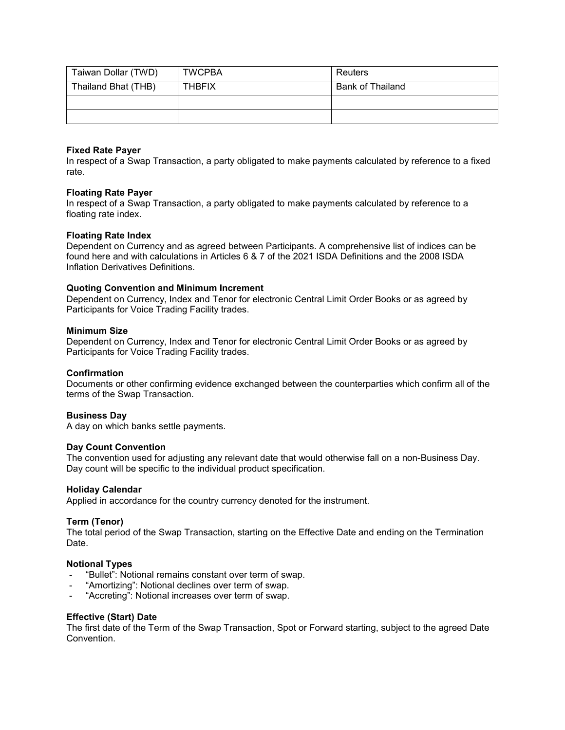| Taiwan Dollar (TWD) | <b>TWCPBA</b> | Reuters          |
|---------------------|---------------|------------------|
| Thailand Bhat (THB) | <b>THBFIX</b> | Bank of Thailand |
|                     |               |                  |
|                     |               |                  |

### **Fixed Rate Payer**

In respect of a Swap Transaction, a party obligated to make payments calculated by reference to a fixed rate.

## **Floating Rate Payer**

In respect of a Swap Transaction, a party obligated to make payments calculated by reference to a floating rate index.

## **Floating Rate Index**

Dependent on Currency and as agreed between Participants. A comprehensive list of indices can be found here and with calculations in Articles 6 & 7 of the 2021 ISDA Definitions and the 2008 ISDA Inflation Derivatives Definitions.

#### **Quoting Convention and Minimum Increment**

Dependent on Currency, Index and Tenor for electronic Central Limit Order Books or as agreed by Participants for Voice Trading Facility trades.

#### **Minimum Size**

Dependent on Currency, Index and Tenor for electronic Central Limit Order Books or as agreed by Participants for Voice Trading Facility trades.

#### **Confirmation**

Documents or other confirming evidence exchanged between the counterparties which confirm all of the terms of the Swap Transaction.

#### **Business Day**

A day on which banks settle payments.

#### **Day Count Convention**

The convention used for adjusting any relevant date that would otherwise fall on a non-Business Day. Day count will be specific to the individual product specification.

#### **Holiday Calendar**

Applied in accordance for the country currency denoted for the instrument.

#### **Term (Tenor)**

The total period of the Swap Transaction, starting on the Effective Date and ending on the Termination Date.

#### **Notional Types**

- "Bullet": Notional remains constant over term of swap.
- "Amortizing": Notional declines over term of swap.
- "Accreting": Notional increases over term of swap.

#### **Effective (Start) Date**

The first date of the Term of the Swap Transaction, Spot or Forward starting, subject to the agreed Date Convention.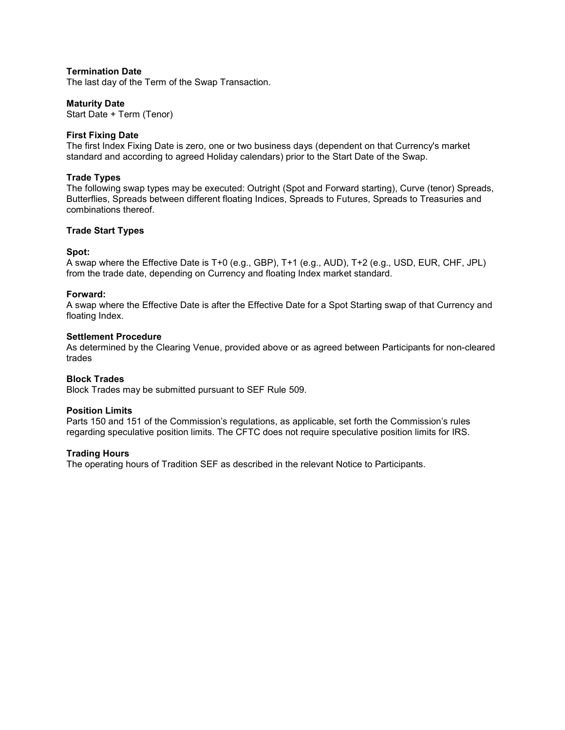## **Termination Date**

The last day of the Term of the Swap Transaction.

### **Maturity Date**

Start Date + Term (Tenor)

#### **First Fixing Date**

The first Index Fixing Date is zero, one or two business days (dependent on that Currency's market standard and according to agreed Holiday calendars) prior to the Start Date of the Swap.

#### **Trade Types**

The following swap types may be executed: Outright (Spot and Forward starting), Curve (tenor) Spreads, Butterflies, Spreads between different floating Indices, Spreads to Futures, Spreads to Treasuries and combinations thereof.

#### **Trade Start Types**

#### **Spot:**

A swap where the Effective Date is T+0 (e.g., GBP), T+1 (e.g., AUD), T+2 (e.g., USD, EUR, CHF, JPL) from the trade date, depending on Currency and floating Index market standard.

#### **Forward:**

A swap where the Effective Date is after the Effective Date for a Spot Starting swap of that Currency and floating Index.

#### **Settlement Procedure**

As determined by the Clearing Venue, provided above or as agreed between Participants for non-cleared trades

#### **Block Trades**

Block Trades may be submitted pursuant to SEF Rule 509.

#### **Position Limits**

Parts 150 and 151 of the Commission's regulations, as applicable, set forth the Commission's rules regarding speculative position limits. The CFTC does not require speculative position limits for IRS.

#### **Trading Hours**

The operating hours of Tradition SEF as described in the relevant Notice to Participants.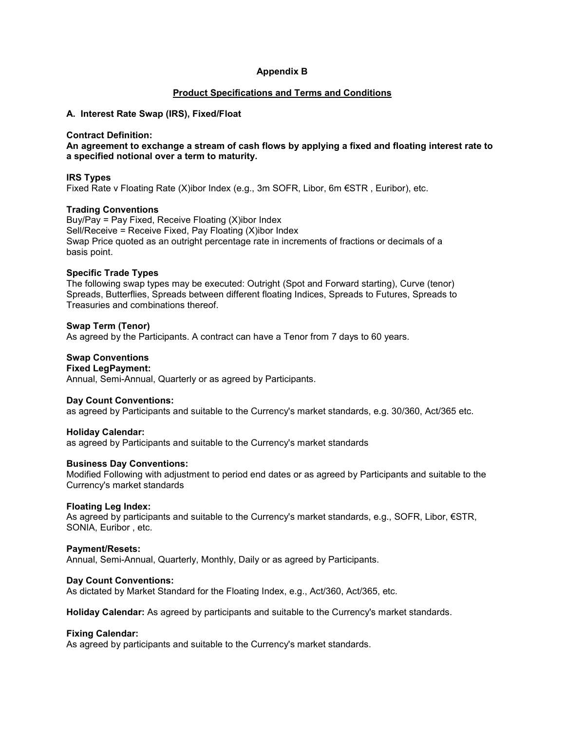## **Appendix B**

#### **Product Specifications and Terms and Conditions**

### **A. Interest Rate Swap (IRS), Fixed/Float**

#### **Contract Definition:**

**An agreement to exchange a stream of cash flows by applying a fixed and floating interest rate to a specified notional over a term to maturity.**

#### **IRS Types**

Fixed Rate v Floating Rate (X)ibor Index (e.g., 3m SOFR, Libor, 6m €STR , Euribor), etc.

#### **Trading Conventions**

Buy/Pay = Pay Fixed, Receive Floating (X)ibor Index Sell/Receive = Receive Fixed, Pay Floating (X)ibor Index Swap Price quoted as an outright percentage rate in increments of fractions or decimals of a basis point.

#### **Specific Trade Types**

The following swap types may be executed: Outright (Spot and Forward starting), Curve (tenor) Spreads, Butterflies, Spreads between different floating Indices, Spreads to Futures, Spreads to Treasuries and combinations thereof.

#### **Swap Term (Tenor)**

As agreed by the Participants. A contract can have a Tenor from 7 days to 60 years.

## **Swap Conventions**

#### **Fixed LegPayment:**

Annual, Semi-Annual, Quarterly or as agreed by Participants.

#### **Day Count Conventions:**

as agreed by Participants and suitable to the Currency's market standards, e.g. 30/360, Act/365 etc.

#### **Holiday Calendar:**

as agreed by Participants and suitable to the Currency's market standards

#### **Business Day Conventions:**

Modified Following with adjustment to period end dates or as agreed by Participants and suitable to the Currency's market standards

#### **Floating Leg Index:**

As agreed by participants and suitable to the Currency's market standards, e.g., SOFR, Libor, €STR, SONIA, Euribor , etc.

#### **Payment/Resets:**

Annual, Semi-Annual, Quarterly, Monthly, Daily or as agreed by Participants.

#### **Day Count Conventions:**

As dictated by Market Standard for the Floating Index, e.g., Act/360, Act/365, etc.

**Holiday Calendar:** As agreed by participants and suitable to the Currency's market standards.

#### **Fixing Calendar:**

As agreed by participants and suitable to the Currency's market standards.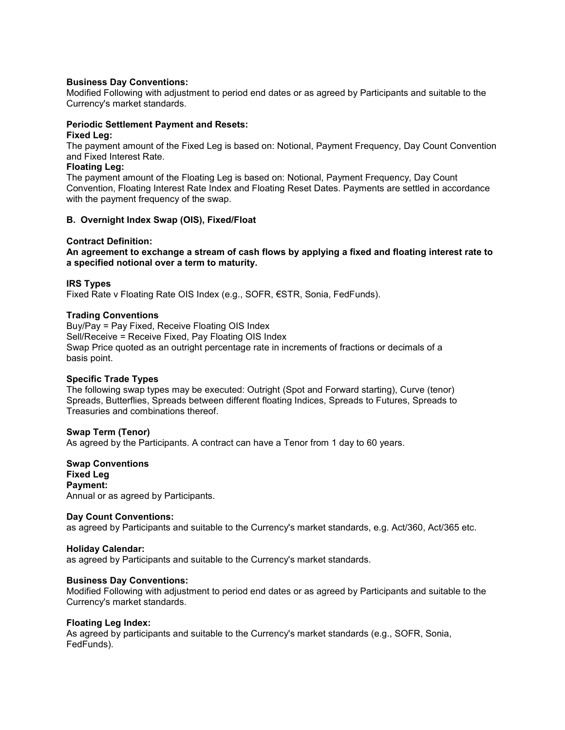#### **Business Day Conventions:**

Modified Following with adjustment to period end dates or as agreed by Participants and suitable to the Currency's market standards.

#### **Periodic Settlement Payment and Resets:**

#### **Fixed Leg:**

The payment amount of the Fixed Leg is based on: Notional, Payment Frequency, Day Count Convention and Fixed Interest Rate.

### **Floating Leg:**

The payment amount of the Floating Leg is based on: Notional, Payment Frequency, Day Count Convention, Floating Interest Rate Index and Floating Reset Dates. Payments are settled in accordance with the payment frequency of the swap.

#### **B. Overnight Index Swap (OIS), Fixed/Float**

#### **Contract Definition:**

**An agreement to exchange a stream of cash flows by applying a fixed and floating interest rate to a specified notional over a term to maturity.**

#### **IRS Types**

Fixed Rate v Floating Rate OIS Index (e.g., SOFR, €STR, Sonia, FedFunds).

#### **Trading Conventions**

Buy/Pay = Pay Fixed, Receive Floating OIS Index Sell/Receive = Receive Fixed, Pay Floating OIS Index Swap Price quoted as an outright percentage rate in increments of fractions or decimals of a basis point.

#### **Specific Trade Types**

The following swap types may be executed: Outright (Spot and Forward starting), Curve (tenor) Spreads, Butterflies, Spreads between different floating Indices, Spreads to Futures, Spreads to Treasuries and combinations thereof.

#### **Swap Term (Tenor)**

As agreed by the Participants. A contract can have a Tenor from 1 day to 60 years.

**Swap Conventions Fixed Leg Payment:**  Annual or as agreed by Participants.

#### **Day Count Conventions:**

as agreed by Participants and suitable to the Currency's market standards, e.g. Act/360, Act/365 etc.

#### **Holiday Calendar:**

as agreed by Participants and suitable to the Currency's market standards.

#### **Business Day Conventions:**

Modified Following with adjustment to period end dates or as agreed by Participants and suitable to the Currency's market standards.

#### **Floating Leg Index:**

As agreed by participants and suitable to the Currency's market standards (e.g., SOFR, Sonia, FedFunds).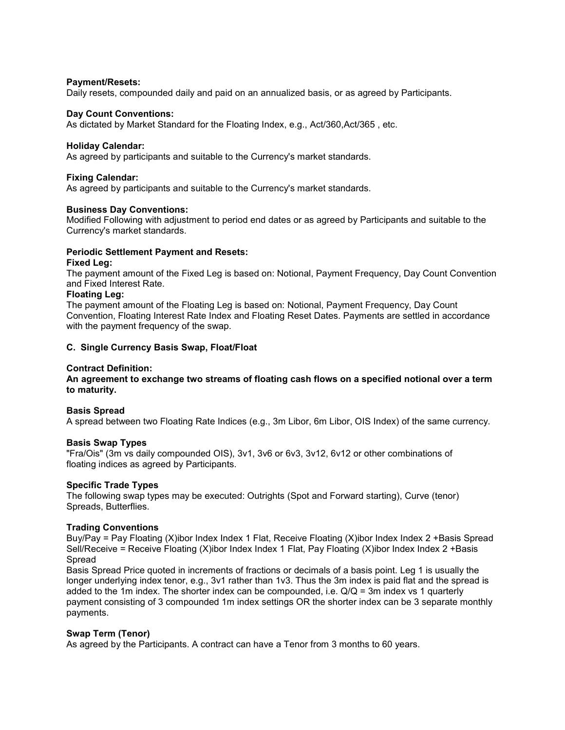#### **Payment/Resets:**

Daily resets, compounded daily and paid on an annualized basis, or as agreed by Participants.

#### **Day Count Conventions:**

As dictated by Market Standard for the Floating Index, e.g., Act/360,Act/365 , etc.

#### **Holiday Calendar:**

As agreed by participants and suitable to the Currency's market standards.

#### **Fixing Calendar:**

As agreed by participants and suitable to the Currency's market standards.

#### **Business Day Conventions:**

Modified Following with adjustment to period end dates or as agreed by Participants and suitable to the Currency's market standards.

#### **Periodic Settlement Payment and Resets:**

#### **Fixed Leg:**

The payment amount of the Fixed Leg is based on: Notional, Payment Frequency, Day Count Convention and Fixed Interest Rate.

#### **Floating Leg:**

The payment amount of the Floating Leg is based on: Notional, Payment Frequency, Day Count Convention, Floating Interest Rate Index and Floating Reset Dates. Payments are settled in accordance with the payment frequency of the swap.

#### **C. Single Currency Basis Swap, Float/Float**

#### **Contract Definition:**

**An agreement to exchange two streams of floating cash flows on a specified notional over a term to maturity.**

#### **Basis Spread**

A spread between two Floating Rate Indices (e.g., 3m Libor, 6m Libor, OIS Index) of the same currency.

#### **Basis Swap Types**

"Fra/Ois" (3m vs daily compounded OIS), 3v1, 3v6 or 6v3, 3v12, 6v12 or other combinations of floating indices as agreed by Participants.

#### **Specific Trade Types**

The following swap types may be executed: Outrights (Spot and Forward starting), Curve (tenor) Spreads, Butterflies.

#### **Trading Conventions**

Buy/Pay = Pay Floating (X)ibor Index Index 1 Flat, Receive Floating (X)ibor Index Index 2 +Basis Spread Sell/Receive = Receive Floating (X)ibor Index Index 1 Flat, Pay Floating (X)ibor Index Index 2 +Basis Spread

Basis Spread Price quoted in increments of fractions or decimals of a basis point. Leg 1 is usually the longer underlying index tenor, e.g., 3v1 rather than 1v3. Thus the 3m index is paid flat and the spread is added to the 1m index. The shorter index can be compounded, i.e. Q/Q = 3m index vs 1 quarterly payment consisting of 3 compounded 1m index settings OR the shorter index can be 3 separate monthly payments.

#### **Swap Term (Tenor)**

As agreed by the Participants. A contract can have a Tenor from 3 months to 60 years.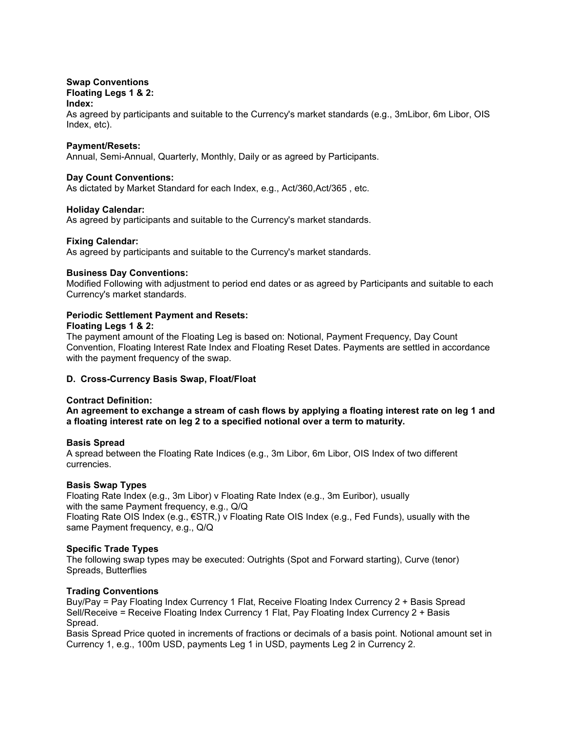#### **Swap Conventions Floating Legs 1 & 2: Index:**

As agreed by participants and suitable to the Currency's market standards (e.g., 3mLibor, 6m Libor, OIS Index, etc).

### **Payment/Resets:**

Annual, Semi-Annual, Quarterly, Monthly, Daily or as agreed by Participants.

## **Day Count Conventions:**

As dictated by Market Standard for each Index, e.g., Act/360,Act/365 , etc.

## **Holiday Calendar:**

As agreed by participants and suitable to the Currency's market standards.

## **Fixing Calendar:**

As agreed by participants and suitable to the Currency's market standards.

#### **Business Day Conventions:**

Modified Following with adjustment to period end dates or as agreed by Participants and suitable to each Currency's market standards.

### **Periodic Settlement Payment and Resets: Floating Legs 1 & 2:**

The payment amount of the Floating Leg is based on: Notional, Payment Frequency, Day Count Convention, Floating Interest Rate Index and Floating Reset Dates. Payments are settled in accordance with the payment frequency of the swap.

## **D. Cross-Currency Basis Swap, Float/Float**

#### **Contract Definition:**

**An agreement to exchange a stream of cash flows by applying a floating interest rate on leg 1 and a floating interest rate on leg 2 to a specified notional over a term to maturity.**

#### **Basis Spread**

A spread between the Floating Rate Indices (e.g., 3m Libor, 6m Libor, OIS Index of two different currencies.

#### **Basis Swap Types**

Floating Rate Index (e.g., 3m Libor) v Floating Rate Index (e.g., 3m Euribor), usually with the same Payment frequency, e.g., Q/Q Floating Rate OIS Index (e.g., €STR,) v Floating Rate OIS Index (e.g., Fed Funds), usually with the same Payment frequency, e.g., Q/Q

## **Specific Trade Types**

The following swap types may be executed: Outrights (Spot and Forward starting), Curve (tenor) Spreads, Butterflies

## **Trading Conventions**

Buy/Pay = Pay Floating Index Currency 1 Flat, Receive Floating Index Currency 2 + Basis Spread Sell/Receive = Receive Floating Index Currency 1 Flat, Pay Floating Index Currency 2 + Basis Spread.

Basis Spread Price quoted in increments of fractions or decimals of a basis point. Notional amount set in Currency 1, e.g., 100m USD, payments Leg 1 in USD, payments Leg 2 in Currency 2.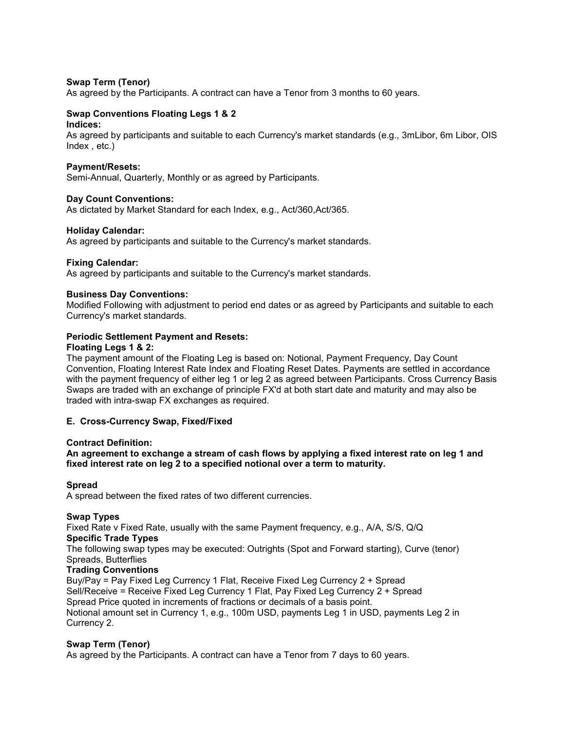#### **Swap Term (Tenor)**

As agreed by the Participants. A contract can have a Tenor from 3 months to 60 years.

## **Swap Conventions Floating Legs 1 & 2**

## **Indices:**

As agreed by participants and suitable to each Currency's market standards (e.g., 3mLibor, 6m Libor, OIS Index , etc.)

#### **Payment/Resets:**

Semi-Annual, Quarterly, Monthly or as agreed by Participants.

#### **Day Count Conventions:**

As dictated by Market Standard for each Index, e.g., Act/360,Act/365.

#### **Holiday Calendar:**

As agreed by participants and suitable to the Currency's market standards.

#### **Fixing Calendar:**

As agreed by participants and suitable to the Currency's market standards.

#### **Business Day Conventions:**

Modified Following with adjustment to period end dates or as agreed by Participants and suitable to each Currency's market standards.

#### **Periodic Settlement Payment and Resets:**

#### **Floating Legs 1 & 2:**

The payment amount of the Floating Leg is based on: Notional, Payment Frequency, Day Count Convention, Floating Interest Rate Index and Floating Reset Dates. Payments are settled in accordance with the payment frequency of either leg 1 or leg 2 as agreed between Participants. Cross Currency Basis Swaps are traded with an exchange of principle FX'd at both start date and maturity and may also be traded with intra-swap FX exchanges as required.

#### **E. Cross-Currency Swap, Fixed/Fixed**

#### **Contract Definition:**

**An agreement to exchange a stream of cash flows by applying a fixed interest rate on leg 1 and fixed interest rate on leg 2 to a specified notional over a term to maturity.**

#### **Spread**

A spread between the fixed rates of two different currencies.

## **Swap Types**

Fixed Rate v Fixed Rate, usually with the same Payment frequency, e.g., A/A, S/S, Q/Q **Specific Trade Types**

The following swap types may be executed: Outrights (Spot and Forward starting), Curve (tenor) Spreads, Butterflies

### **Trading Conventions**

Buy/Pay = Pay Fixed Leg Currency 1 Flat, Receive Fixed Leg Currency 2 + Spread Sell/Receive = Receive Fixed Leg Currency 1 Flat, Pay Fixed Leg Currency 2 + Spread Spread Price quoted in increments of fractions or decimals of a basis point. Notional amount set in Currency 1, e.g., 100m USD, payments Leg 1 in USD, payments Leg 2 in Currency 2.

#### **Swap Term (Tenor)**

As agreed by the Participants. A contract can have a Tenor from 7 days to 60 years.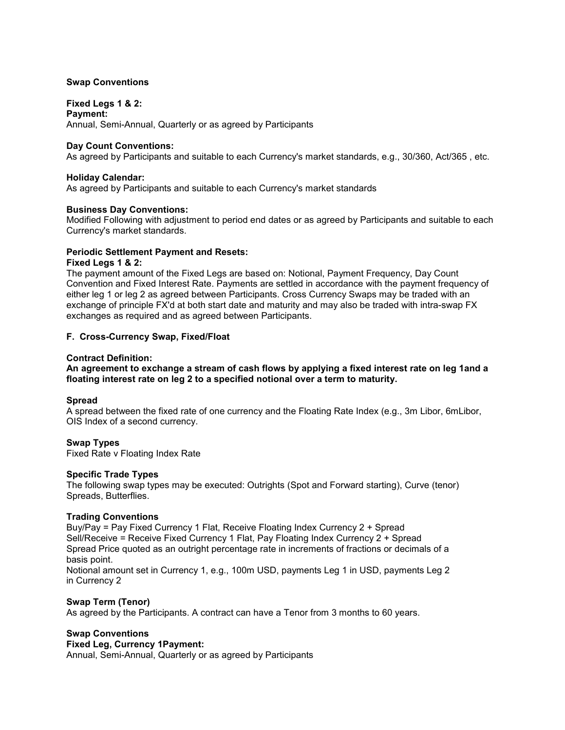### **Swap Conventions**

## **Fixed Legs 1 & 2:**

**Payment:**  Annual, Semi-Annual, Quarterly or as agreed by Participants

#### **Day Count Conventions:**

As agreed by Participants and suitable to each Currency's market standards, e.g., 30/360, Act/365 , etc.

#### **Holiday Calendar:**

As agreed by Participants and suitable to each Currency's market standards

#### **Business Day Conventions:**

Modified Following with adjustment to period end dates or as agreed by Participants and suitable to each Currency's market standards.

#### **Periodic Settlement Payment and Resets:**

#### **Fixed Legs 1 & 2:**

The payment amount of the Fixed Legs are based on: Notional, Payment Frequency, Day Count Convention and Fixed Interest Rate. Payments are settled in accordance with the payment frequency of either leg 1 or leg 2 as agreed between Participants. Cross Currency Swaps may be traded with an exchange of principle FX'd at both start date and maturity and may also be traded with intra-swap FX exchanges as required and as agreed between Participants.

#### **F. Cross-Currency Swap, Fixed/Float**

#### **Contract Definition:**

#### **An agreement to exchange a stream of cash flows by applying a fixed interest rate on leg 1and a floating interest rate on leg 2 to a specified notional over a term to maturity.**

### **Spread**

A spread between the fixed rate of one currency and the Floating Rate Index (e.g., 3m Libor, 6mLibor, OIS Index of a second currency.

#### **Swap Types**

Fixed Rate v Floating Index Rate

#### **Specific Trade Types**

The following swap types may be executed: Outrights (Spot and Forward starting), Curve (tenor) Spreads, Butterflies.

#### **Trading Conventions**

Buy/Pay = Pay Fixed Currency 1 Flat, Receive Floating Index Currency 2 + Spread Sell/Receive = Receive Fixed Currency 1 Flat, Pay Floating Index Currency 2 + Spread Spread Price quoted as an outright percentage rate in increments of fractions or decimals of a basis point.

Notional amount set in Currency 1, e.g., 100m USD, payments Leg 1 in USD, payments Leg 2 in Currency 2

# **Swap Term (Tenor)**

As agreed by the Participants. A contract can have a Tenor from 3 months to 60 years.

## **Swap Conventions**

## **Fixed Leg, Currency 1Payment:**

Annual, Semi-Annual, Quarterly or as agreed by Participants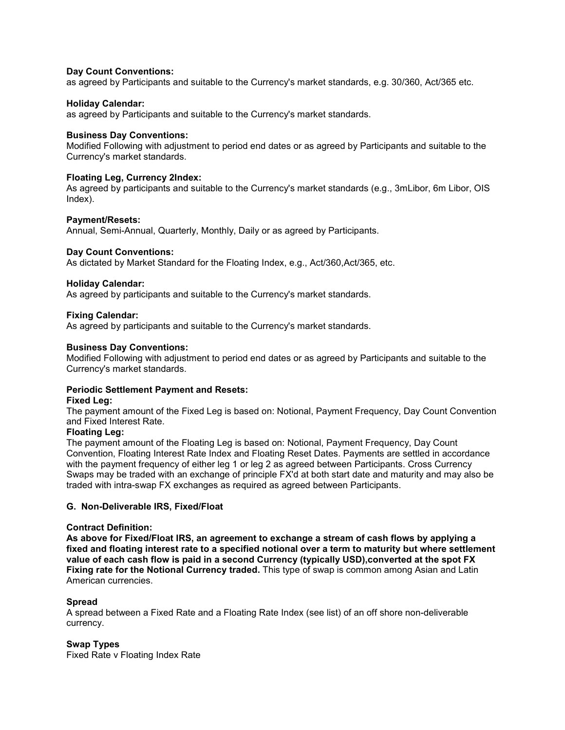#### **Day Count Conventions:**

as agreed by Participants and suitable to the Currency's market standards, e.g. 30/360, Act/365 etc.

## **Holiday Calendar:**

as agreed by Participants and suitable to the Currency's market standards.

## **Business Day Conventions:**

Modified Following with adjustment to period end dates or as agreed by Participants and suitable to the Currency's market standards.

## **Floating Leg, Currency 2Index:**

As agreed by participants and suitable to the Currency's market standards (e.g., 3mLibor, 6m Libor, OIS Index).

## **Payment/Resets:**

Annual, Semi-Annual, Quarterly, Monthly, Daily or as agreed by Participants.

## **Day Count Conventions:**

As dictated by Market Standard for the Floating Index, e.g., Act/360,Act/365, etc.

## **Holiday Calendar:**

As agreed by participants and suitable to the Currency's market standards.

## **Fixing Calendar:**

As agreed by participants and suitable to the Currency's market standards.

## **Business Day Conventions:**

Modified Following with adjustment to period end dates or as agreed by Participants and suitable to the Currency's market standards.

#### **Periodic Settlement Payment and Resets:**

#### **Fixed Leg:**

The payment amount of the Fixed Leg is based on: Notional, Payment Frequency, Day Count Convention and Fixed Interest Rate.

#### **Floating Leg:**

The payment amount of the Floating Leg is based on: Notional, Payment Frequency, Day Count Convention, Floating Interest Rate Index and Floating Reset Dates. Payments are settled in accordance with the payment frequency of either leg 1 or leg 2 as agreed between Participants. Cross Currency Swaps may be traded with an exchange of principle FX'd at both start date and maturity and may also be traded with intra-swap FX exchanges as required as agreed between Participants.

#### **G. Non-Deliverable IRS, Fixed/Float**

#### **Contract Definition:**

**As above for Fixed/Float IRS, an agreement to exchange a stream of cash flows by applying a fixed and floating interest rate to a specified notional over a term to maturity but where settlement value of each cash flow is paid in a second Currency (typically USD),converted at the spot FX Fixing rate for the Notional Currency traded.** This type of swap is common among Asian and Latin American currencies.

## **Spread**

A spread between a Fixed Rate and a Floating Rate Index (see list) of an off shore non-deliverable currency.

#### **Swap Types**

Fixed Rate v Floating Index Rate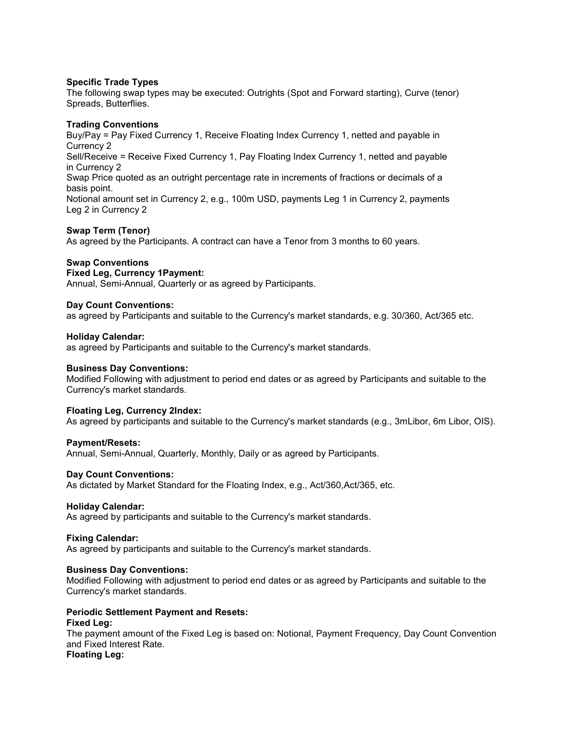#### **Specific Trade Types**

The following swap types may be executed: Outrights (Spot and Forward starting), Curve (tenor) Spreads, Butterflies.

#### **Trading Conventions**

Buy/Pay = Pay Fixed Currency 1, Receive Floating Index Currency 1, netted and payable in Currency 2 Sell/Receive = Receive Fixed Currency 1, Pay Floating Index Currency 1, netted and payable in Currency 2 Swap Price quoted as an outright percentage rate in increments of fractions or decimals of a basis point. Notional amount set in Currency 2, e.g., 100m USD, payments Leg 1 in Currency 2, payments Leg 2 in Currency 2

#### **Swap Term (Tenor)**

As agreed by the Participants. A contract can have a Tenor from 3 months to 60 years.

#### **Swap Conventions**

## **Fixed Leg, Currency 1Payment:**

Annual, Semi-Annual, Quarterly or as agreed by Participants.

#### **Day Count Conventions:**

as agreed by Participants and suitable to the Currency's market standards, e.g. 30/360, Act/365 etc.

#### **Holiday Calendar:**

as agreed by Participants and suitable to the Currency's market standards.

#### **Business Day Conventions:**

Modified Following with adjustment to period end dates or as agreed by Participants and suitable to the Currency's market standards.

#### **Floating Leg, Currency 2Index:**

As agreed by participants and suitable to the Currency's market standards (e.g., 3mLibor, 6m Libor, OIS).

#### **Payment/Resets:**

Annual, Semi-Annual, Quarterly, Monthly, Daily or as agreed by Participants.

#### **Day Count Conventions:**

As dictated by Market Standard for the Floating Index, e.g., Act/360,Act/365, etc.

#### **Holiday Calendar:**

As agreed by participants and suitable to the Currency's market standards.

#### **Fixing Calendar:**

As agreed by participants and suitable to the Currency's market standards.

#### **Business Day Conventions:**

Modified Following with adjustment to period end dates or as agreed by Participants and suitable to the Currency's market standards.

#### **Periodic Settlement Payment and Resets:**

#### **Fixed Leg:**

The payment amount of the Fixed Leg is based on: Notional, Payment Frequency, Day Count Convention and Fixed Interest Rate. **Floating Leg:**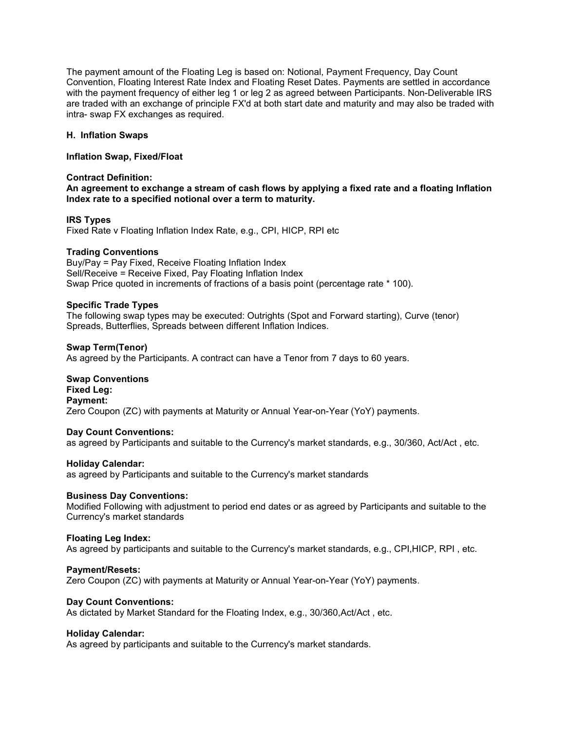The payment amount of the Floating Leg is based on: Notional, Payment Frequency, Day Count Convention, Floating Interest Rate Index and Floating Reset Dates. Payments are settled in accordance with the payment frequency of either leg 1 or leg 2 as agreed between Participants. Non-Deliverable IRS are traded with an exchange of principle FX'd at both start date and maturity and may also be traded with intra- swap FX exchanges as required.

#### **H. Inflation Swaps**

### **Inflation Swap, Fixed/Float**

### **Contract Definition:**

**An agreement to exchange a stream of cash flows by applying a fixed rate and a floating Inflation Index rate to a specified notional over a term to maturity.**

## **IRS Types**

Fixed Rate v Floating Inflation Index Rate, e.g., CPI, HICP, RPI etc

## **Trading Conventions**

Buy/Pay = Pay Fixed, Receive Floating Inflation Index Sell/Receive = Receive Fixed, Pay Floating Inflation Index Swap Price quoted in increments of fractions of a basis point (percentage rate \* 100).

## **Specific Trade Types**

The following swap types may be executed: Outrights (Spot and Forward starting), Curve (tenor) Spreads, Butterflies, Spreads between different Inflation Indices.

#### **Swap Term(Tenor)** As agreed by the Participants. A contract can have a Tenor from 7 days to 60 years.

**Swap Conventions Fixed Leg: Payment:**  Zero Coupon (ZC) with payments at Maturity or Annual Year-on-Year (YoY) payments.

#### **Day Count Conventions:**

as agreed by Participants and suitable to the Currency's market standards, e.g., 30/360, Act/Act , etc.

#### **Holiday Calendar:**

as agreed by Participants and suitable to the Currency's market standards

#### **Business Day Conventions:**

Modified Following with adjustment to period end dates or as agreed by Participants and suitable to the Currency's market standards

#### **Floating Leg Index:**

As agreed by participants and suitable to the Currency's market standards, e.g., CPI,HICP, RPI , etc.

#### **Payment/Resets:**

Zero Coupon (ZC) with payments at Maturity or Annual Year-on-Year (YoY) payments.

#### **Day Count Conventions:**

As dictated by Market Standard for the Floating Index, e.g., 30/360,Act/Act , etc.

#### **Holiday Calendar:**

As agreed by participants and suitable to the Currency's market standards.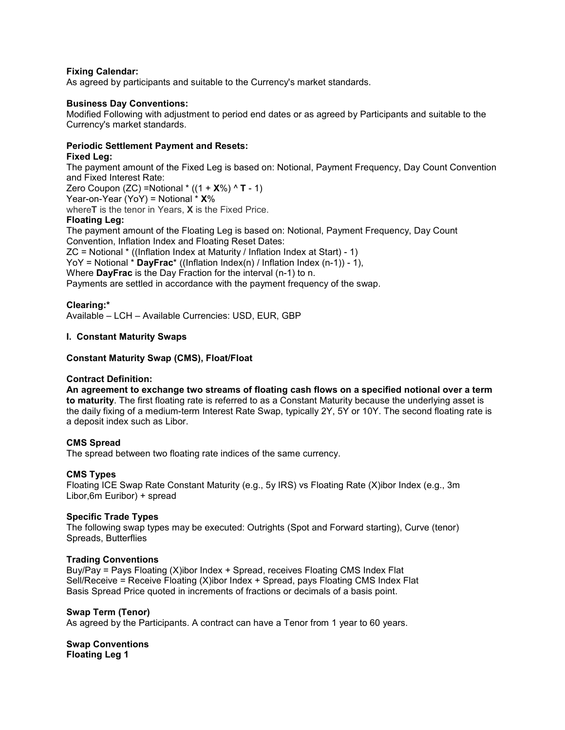## **Fixing Calendar:**

As agreed by participants and suitable to the Currency's market standards.

## **Business Day Conventions:**

Modified Following with adjustment to period end dates or as agreed by Participants and suitable to the Currency's market standards.

## **Periodic Settlement Payment and Resets:**

## **Fixed Leg:**

The payment amount of the Fixed Leg is based on: Notional, Payment Frequency, Day Count Convention and Fixed Interest Rate:

Zero Coupon (ZC) =Notional \* ((1 + **X**%) ^ **T** - 1)

Year-on-Year (YoY) = Notional \* **X**%

where**T** is the tenor in Years, **X** is the Fixed Price.

## **Floating Leg:**

The payment amount of the Floating Leg is based on: Notional, Payment Frequency, Day Count Convention, Inflation Index and Floating Reset Dates: ZC = Notional \* ((Inflation Index at Maturity / Inflation Index at Start) - 1) YoY = Notional \* **DayFrac**\* ((Inflation Index(n) / Inflation Index (n-1)) - 1), Where **DayFrac** is the Day Fraction for the interval (n-1) to n. Payments are settled in accordance with the payment frequency of the swap.

## **Clearing:\***

Available – LCH – Available Currencies: USD, EUR, GBP

## **I. Constant Maturity Swaps**

## **Constant Maturity Swap (CMS), Float/Float**

#### **Contract Definition:**

**An agreement to exchange two streams of floating cash flows on a specified notional over a term to maturity**. The first floating rate is referred to as a Constant Maturity because the underlying asset is the daily fixing of a medium-term Interest Rate Swap, typically 2Y, 5Y or 10Y. The second floating rate is a deposit index such as Libor.

#### **CMS Spread**

The spread between two floating rate indices of the same currency.

#### **CMS Types**

Floating ICE Swap Rate Constant Maturity (e.g., 5y IRS) vs Floating Rate (X)ibor Index (e.g., 3m Libor,6m Euribor) + spread

#### **Specific Trade Types**

The following swap types may be executed: Outrights (Spot and Forward starting), Curve (tenor) Spreads, Butterflies

#### **Trading Conventions**

Buy/Pay = Pays Floating (X)ibor Index + Spread, receives Floating CMS Index Flat Sell/Receive = Receive Floating (X)ibor Index + Spread, pays Floating CMS Index Flat Basis Spread Price quoted in increments of fractions or decimals of a basis point.

#### **Swap Term (Tenor)**

As agreed by the Participants. A contract can have a Tenor from 1 year to 60 years.

#### **Swap Conventions Floating Leg 1**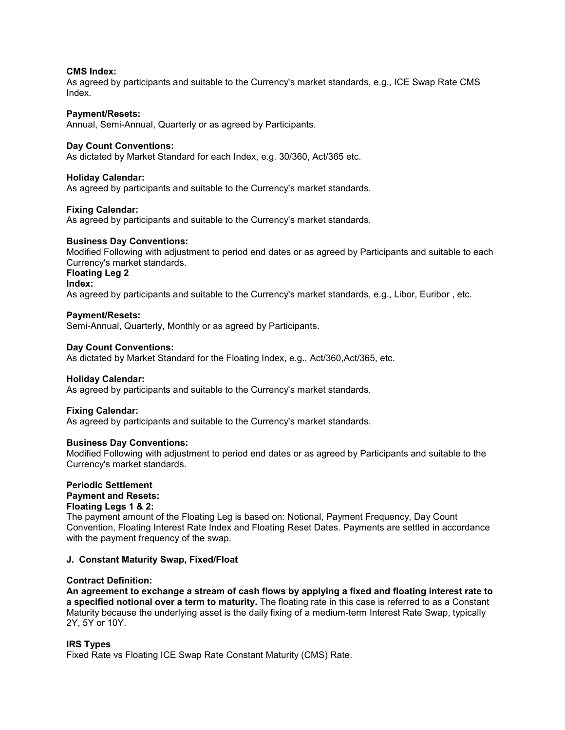### **CMS Index:**

As agreed by participants and suitable to the Currency's market standards, e.g., ICE Swap Rate CMS Index.

#### **Payment/Resets:**

Annual, Semi-Annual, Quarterly or as agreed by Participants.

#### **Day Count Conventions:**

As dictated by Market Standard for each Index, e.g. 30/360, Act/365 etc.

#### **Holiday Calendar:**

As agreed by participants and suitable to the Currency's market standards.

#### **Fixing Calendar:**

As agreed by participants and suitable to the Currency's market standards.

#### **Business Day Conventions:**

Modified Following with adjustment to period end dates or as agreed by Participants and suitable to each Currency's market standards.

## **Floating Leg 2**

**Index:** 

As agreed by participants and suitable to the Currency's market standards, e.g., Libor, Euribor , etc.

#### **Payment/Resets:**

Semi-Annual, Quarterly, Monthly or as agreed by Participants.

#### **Day Count Conventions:**

As dictated by Market Standard for the Floating Index, e.g., Act/360,Act/365, etc.

#### **Holiday Calendar:**

As agreed by participants and suitable to the Currency's market standards.

#### **Fixing Calendar:**

As agreed by participants and suitable to the Currency's market standards.

#### **Business Day Conventions:**

Modified Following with adjustment to period end dates or as agreed by Participants and suitable to the Currency's market standards.

#### **Periodic Settlement Payment and Resets: Floating Legs 1 & 2:**

The payment amount of the Floating Leg is based on: Notional, Payment Frequency, Day Count Convention, Floating Interest Rate Index and Floating Reset Dates. Payments are settled in accordance with the payment frequency of the swap.

#### **J. Constant Maturity Swap, Fixed/Float**

#### **Contract Definition:**

**An agreement to exchange a stream of cash flows by applying a fixed and floating interest rate to a specified notional over a term to maturity.** The floating rate in this case is referred to as a Constant Maturity because the underlying asset is the daily fixing of a medium-term Interest Rate Swap, typically 2Y, 5Y or 10Y.

#### **IRS Types**

Fixed Rate vs Floating ICE Swap Rate Constant Maturity (CMS) Rate.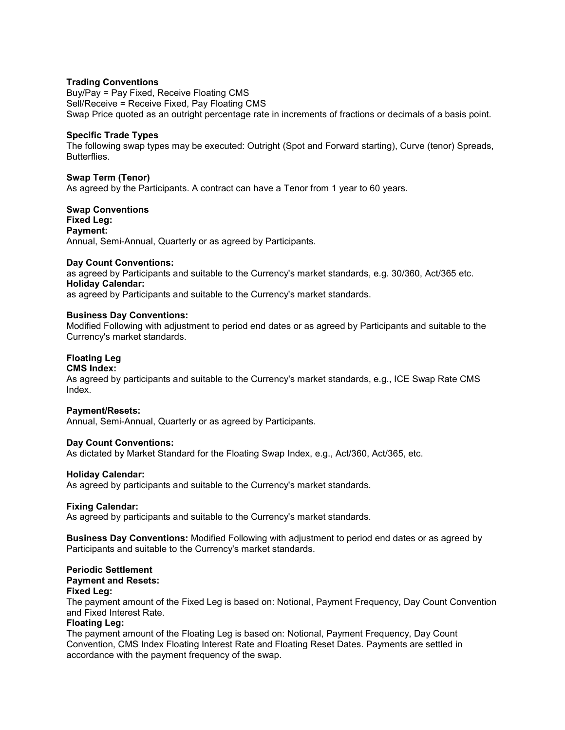#### **Trading Conventions**

Buy/Pay = Pay Fixed, Receive Floating CMS Sell/Receive = Receive Fixed, Pay Floating CMS Swap Price quoted as an outright percentage rate in increments of fractions or decimals of a basis point.

## **Specific Trade Types**

The following swap types may be executed: Outright (Spot and Forward starting), Curve (tenor) Spreads, Butterflies.

#### **Swap Term (Tenor)**

As agreed by the Participants. A contract can have a Tenor from 1 year to 60 years.

### **Swap Conventions Fixed Leg: Payment:**  Annual, Semi-Annual, Quarterly or as agreed by Participants.

#### **Day Count Conventions:**

as agreed by Participants and suitable to the Currency's market standards, e.g. 30/360, Act/365 etc. **Holiday Calendar:** 

as agreed by Participants and suitable to the Currency's market standards.

#### **Business Day Conventions:**

Modified Following with adjustment to period end dates or as agreed by Participants and suitable to the Currency's market standards.

## **Floating Leg**

#### **CMS Index:**

As agreed by participants and suitable to the Currency's market standards, e.g., ICE Swap Rate CMS Index.

#### **Payment/Resets:**

Annual, Semi-Annual, Quarterly or as agreed by Participants.

#### **Day Count Conventions:**

As dictated by Market Standard for the Floating Swap Index, e.g., Act/360, Act/365, etc.

#### **Holiday Calendar:**

As agreed by participants and suitable to the Currency's market standards.

#### **Fixing Calendar:**

As agreed by participants and suitable to the Currency's market standards.

**Business Day Conventions:** Modified Following with adjustment to period end dates or as agreed by Participants and suitable to the Currency's market standards.

#### **Periodic Settlement Payment and Resets:**

#### **Fixed Leg:**

The payment amount of the Fixed Leg is based on: Notional, Payment Frequency, Day Count Convention and Fixed Interest Rate.

#### **Floating Leg:**

The payment amount of the Floating Leg is based on: Notional, Payment Frequency, Day Count Convention, CMS Index Floating Interest Rate and Floating Reset Dates. Payments are settled in accordance with the payment frequency of the swap.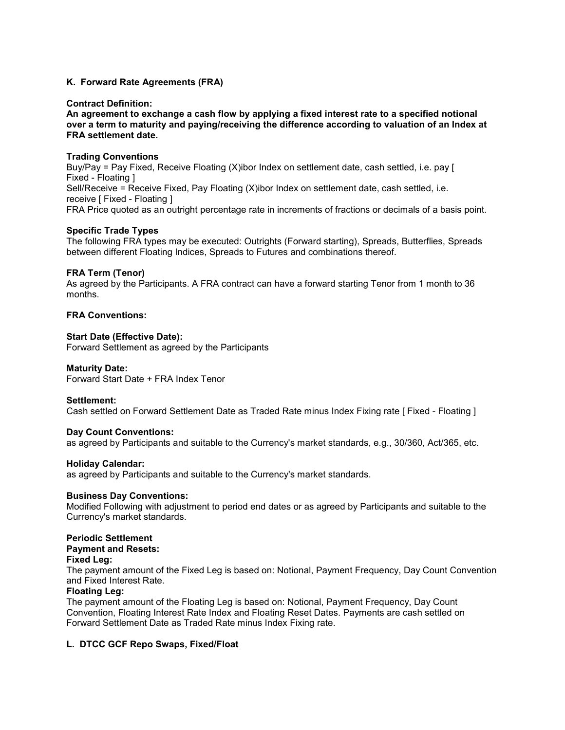## **K. Forward Rate Agreements (FRA)**

#### **Contract Definition:**

**An agreement to exchange a cash flow by applying a fixed interest rate to a specified notional over a term to maturity and paying/receiving the difference according to valuation of an Index at FRA settlement date.**

#### **Trading Conventions**

Buy/Pay = Pay Fixed, Receive Floating (X)ibor Index on settlement date, cash settled, i.e. pay [ Fixed - Floating ] Sell/Receive = Receive Fixed, Pay Floating (X)ibor Index on settlement date, cash settled, i.e. receive [ Fixed - Floating ] FRA Price quoted as an outright percentage rate in increments of fractions or decimals of a basis point.

#### **Specific Trade Types**

The following FRA types may be executed: Outrights (Forward starting), Spreads, Butterflies, Spreads between different Floating Indices, Spreads to Futures and combinations thereof.

#### **FRA Term (Tenor)**

As agreed by the Participants. A FRA contract can have a forward starting Tenor from 1 month to 36 months.

## **FRA Conventions:**

#### **Start Date (Effective Date):**

Forward Settlement as agreed by the Participants

#### **Maturity Date:**

Forward Start Date + FRA Index Tenor

#### **Settlement:**

Cash settled on Forward Settlement Date as Traded Rate minus Index Fixing rate [ Fixed - Floating ]

#### **Day Count Conventions:**

as agreed by Participants and suitable to the Currency's market standards, e.g., 30/360, Act/365, etc.

#### **Holiday Calendar:**

as agreed by Participants and suitable to the Currency's market standards.

#### **Business Day Conventions:**

Modified Following with adjustment to period end dates or as agreed by Participants and suitable to the Currency's market standards.

#### **Periodic Settlement**

#### **Payment and Resets:**

#### **Fixed Leg:**

The payment amount of the Fixed Leg is based on: Notional, Payment Frequency, Day Count Convention and Fixed Interest Rate.

#### **Floating Leg:**

The payment amount of the Floating Leg is based on: Notional, Payment Frequency, Day Count Convention, Floating Interest Rate Index and Floating Reset Dates. Payments are cash settled on Forward Settlement Date as Traded Rate minus Index Fixing rate.

#### **L. DTCC GCF Repo Swaps, Fixed/Float**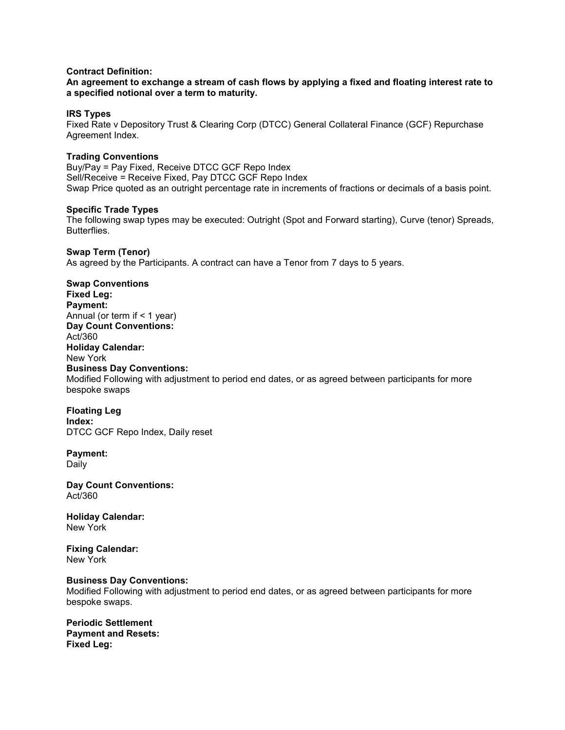## **Contract Definition:**

**An agreement to exchange a stream of cash flows by applying a fixed and floating interest rate to a specified notional over a term to maturity.**

#### **IRS Types**

Fixed Rate v Depository Trust & Clearing Corp (DTCC) General Collateral Finance (GCF) Repurchase Agreement Index.

#### **Trading Conventions**

Buy/Pay = Pay Fixed, Receive DTCC GCF Repo Index Sell/Receive = Receive Fixed, Pay DTCC GCF Repo Index Swap Price quoted as an outright percentage rate in increments of fractions or decimals of a basis point.

#### **Specific Trade Types**

The following swap types may be executed: Outright (Spot and Forward starting), Curve (tenor) Spreads, **Butterflies** 

#### **Swap Term (Tenor)**

As agreed by the Participants. A contract can have a Tenor from 7 days to 5 years.

**Swap Conventions Fixed Leg: Payment:**  Annual (or term if  $<$  1 year) **Day Count Conventions:**  Act/360 **Holiday Calendar:**  New York **Business Day Conventions:**  Modified Following with adjustment to period end dates, or as agreed between participants for more bespoke swaps

**Floating Leg Index:**  DTCC GCF Repo Index, Daily reset

**Payment:**  Daily

**Day Count Conventions:**  Act/360

**Holiday Calendar:**  New York

**Fixing Calendar:**  New York

#### **Business Day Conventions:**

Modified Following with adjustment to period end dates, or as agreed between participants for more bespoke swaps.

**Periodic Settlement Payment and Resets: Fixed Leg:**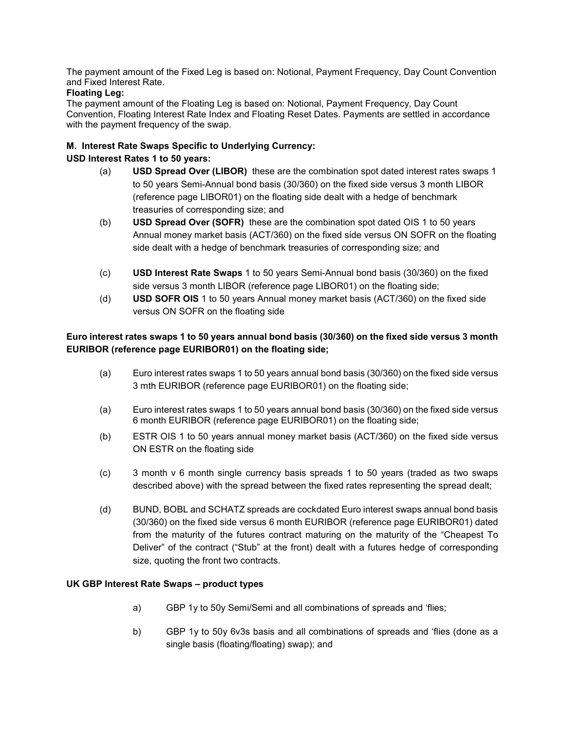The payment amount of the Fixed Leg is based on: Notional, Payment Frequency, Day Count Convention and Fixed Interest Rate.

## **Floating Leg:**

The payment amount of the Floating Leg is based on: Notional, Payment Frequency, Day Count Convention, Floating Interest Rate Index and Floating Reset Dates. Payments are settled in accordance with the payment frequency of the swap.

## **M. Interest Rate Swaps Specific to Underlying Currency:**

## **USD Interest Rates 1 to 50 years:**

- (a) **USD Spread Over (LIBOR)** these are the combination spot dated interest rates swaps 1 to 50 years Semi-Annual bond basis (30/360) on the fixed side versus 3 month LIBOR (reference page LIBOR01) on the floating side dealt with a hedge of benchmark treasuries of corresponding size; and
- (b) **USD Spread Over (SOFR)** these are the combination spot dated OIS 1 to 50 years Annual money market basis (ACT/360) on the fixed side versus ON SOFR on the floating side dealt with a hedge of benchmark treasuries of corresponding size; and
- (c) **USD Interest Rate Swaps** 1 to 50 years Semi-Annual bond basis (30/360) on the fixed side versus 3 month LIBOR (reference page LIBOR01) on the floating side;
- (d) **USD SOFR OIS** 1 to 50 years Annual money market basis (ACT/360) on the fixed side versus ON SOFR on the floating side

## **Euro interest rates swaps 1 to 50 years annual bond basis (30/360) on the fixed side versus 3 month EURIBOR (reference page EURIBOR01) on the floating side;**

- (a) Euro interest rates swaps 1 to 50 years annual bond basis (30/360) on the fixed side versus 3 mth EURIBOR (reference page EURIBOR01) on the floating side;
- (a) Euro interest rates swaps 1 to 50 years annual bond basis (30/360) on the fixed side versus 6 month EURIBOR (reference page EURIBOR01) on the floating side;
- (b) ESTR OIS 1 to 50 years annual money market basis (ACT/360) on the fixed side versus ON ESTR on the floating side
- (c) 3 month v 6 month single currency basis spreads 1 to 50 years (traded as two swaps described above) with the spread between the fixed rates representing the spread dealt;
- (d) BUND, BOBL and SCHATZ spreads are cockdated Euro interest swaps annual bond basis (30/360) on the fixed side versus 6 month EURIBOR (reference page EURIBOR01) dated from the maturity of the futures contract maturing on the maturity of the "Cheapest To Deliver" of the contract ("Stub" at the front) dealt with a futures hedge of corresponding size, quoting the front two contracts.

## **UK GBP Interest Rate Swaps – product types**

- a) GBP 1y to 50y Semi/Semi and all combinations of spreads and 'flies;
- b) GBP 1y to 50y 6v3s basis and all combinations of spreads and 'flies (done as a single basis (floating/floating) swap); and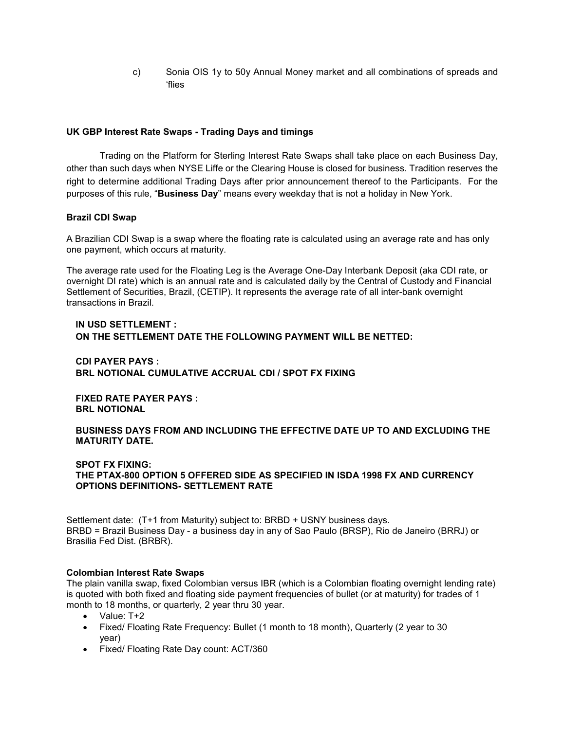c) Sonia OIS 1y to 50y Annual Money market and all combinations of spreads and 'flies

## **UK GBP Interest Rate Swaps - Trading Days and timings**

Trading on the Platform for Sterling Interest Rate Swaps shall take place on each Business Day, other than such days when NYSE Liffe or the Clearing House is closed for business. Tradition reserves the right to determine additional Trading Days after prior announcement thereof to the Participants. For the purposes of this rule, "**Business Day**" means every weekday that is not a holiday in New York.

## **Brazil CDI Swap**

A Brazilian CDI Swap is a swap where the floating rate is calculated using an average rate and has only one payment, which occurs at maturity.

The average rate used for the Floating Leg is the Average One-Day Interbank Deposit (aka CDI rate, or overnight DI rate) which is an annual rate and is calculated daily by the Central of Custody and Financial Settlement of Securities, Brazil, (CETIP). It represents the average rate of all inter-bank overnight transactions in Brazil.

## **IN USD SETTLEMENT : ON THE SETTLEMENT DATE THE FOLLOWING PAYMENT WILL BE NETTED:**

## **CDI PAYER PAYS : BRL NOTIONAL CUMULATIVE ACCRUAL CDI / SPOT FX FIXING**

**FIXED RATE PAYER PAYS : BRL NOTIONAL** 

## **BUSINESS DAYS FROM AND INCLUDING THE EFFECTIVE DATE UP TO AND EXCLUDING THE MATURITY DATE.**

#### **SPOT FX FIXING: THE PTAX-800 OPTION 5 OFFERED SIDE AS SPECIFIED IN ISDA 1998 FX AND CURRENCY OPTIONS DEFINITIONS- SETTLEMENT RATE**

Settlement date: (T+1 from Maturity) subject to: BRBD + USNY business days. BRBD = Brazil Business Day - a business day in any of Sao Paulo (BRSP), Rio de Janeiro (BRRJ) or Brasilia Fed Dist. (BRBR).

#### **Colombian Interest Rate Swaps**

The plain vanilla swap, fixed Colombian versus IBR (which is a Colombian floating overnight lending rate) is quoted with both fixed and floating side payment frequencies of bullet (or at maturity) for trades of 1 month to 18 months, or quarterly, 2 year thru 30 year.

- Value: T+2
- Fixed/ Floating Rate Frequency: Bullet (1 month to 18 month), Quarterly (2 year to 30 year)
- Fixed/ Floating Rate Day count: ACT/360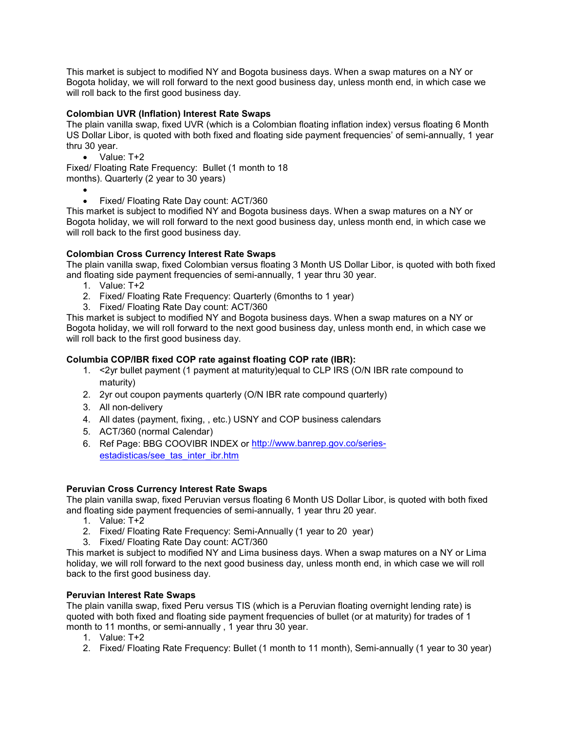This market is subject to modified NY and Bogota business days. When a swap matures on a NY or Bogota holiday, we will roll forward to the next good business day, unless month end, in which case we will roll back to the first good business day.

## **Colombian UVR (Inflation) Interest Rate Swaps**

The plain vanilla swap, fixed UVR (which is a Colombian floating inflation index) versus floating 6 Month US Dollar Libor, is quoted with both fixed and floating side payment frequencies' of semi-annually, 1 year thru 30 year.

• Value: T+2

Fixed/ Floating Rate Frequency: Bullet (1 month to 18 months). Quarterly (2 year to 30 years)

• • Fixed/ Floating Rate Day count: ACT/360

This market is subject to modified NY and Bogota business days. When a swap matures on a NY or Bogota holiday, we will roll forward to the next good business day, unless month end, in which case we will roll back to the first good business day.

## **Colombian Cross Currency Interest Rate Swaps**

The plain vanilla swap, fixed Colombian versus floating 3 Month US Dollar Libor, is quoted with both fixed and floating side payment frequencies of semi-annually, 1 year thru 30 year.

- 1. Value: T+2
- 2. Fixed/ Floating Rate Frequency: Quarterly (6months to 1 year)
- 3. Fixed/ Floating Rate Day count: ACT/360

This market is subject to modified NY and Bogota business days. When a swap matures on a NY or Bogota holiday, we will roll forward to the next good business day, unless month end, in which case we will roll back to the first good business day.

## **Columbia COP/IBR fixed COP rate against floating COP rate (IBR):**

- 1. <2yr bullet payment (1 payment at maturity)equal to CLP IRS (O/N IBR rate compound to maturity)
- 2. 2yr out coupon payments quarterly (O/N IBR rate compound quarterly)
- 3. All non-delivery
- 4. All dates (payment, fixing, , etc.) USNY and COP business calendars
- 5. ACT/360 (normal Calendar)
- 6. Ref Page: BBG COOVIBR INDEX or [http://www.banrep.gov.co/series](http://www.banrep.gov.co/series-estadisticas/see_tas_inter_ibr.htm)[estadisticas/see\\_tas\\_inter\\_ibr.htm](http://www.banrep.gov.co/series-estadisticas/see_tas_inter_ibr.htm)

#### **Peruvian Cross Currency Interest Rate Swaps**

The plain vanilla swap, fixed Peruvian versus floating 6 Month US Dollar Libor, is quoted with both fixed and floating side payment frequencies of semi-annually, 1 year thru 20 year.

- 1. Value: T+2
- 2. Fixed/ Floating Rate Frequency: Semi-Annually (1 year to 20 year)
- 3. Fixed/ Floating Rate Day count: ACT/360

This market is subject to modified NY and Lima business days. When a swap matures on a NY or Lima holiday, we will roll forward to the next good business day, unless month end, in which case we will roll back to the first good business day.

#### **Peruvian Interest Rate Swaps**

The plain vanilla swap, fixed Peru versus TIS (which is a Peruvian floating overnight lending rate) is quoted with both fixed and floating side payment frequencies of bullet (or at maturity) for trades of 1 month to 11 months, or semi-annually , 1 year thru 30 year.

- 1. Value: T+2
- 2. Fixed/ Floating Rate Frequency: Bullet (1 month to 11 month), Semi-annually (1 year to 30 year)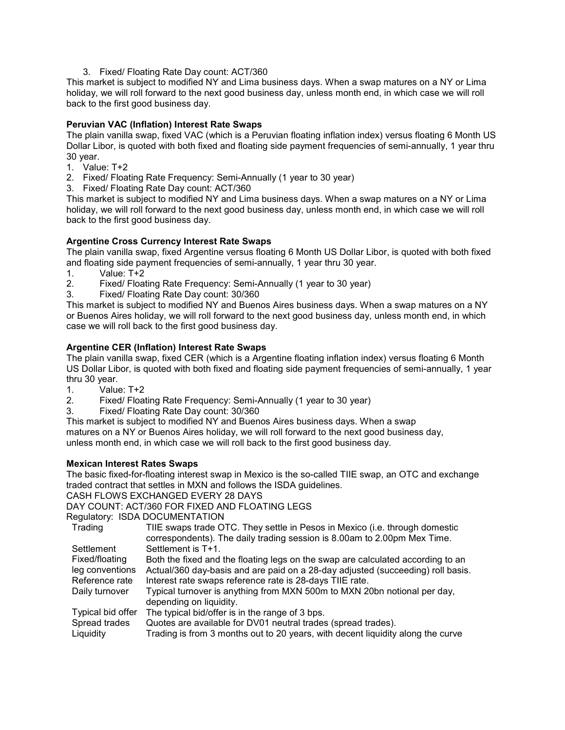3. Fixed/ Floating Rate Day count: ACT/360

This market is subject to modified NY and Lima business days. When a swap matures on a NY or Lima holiday, we will roll forward to the next good business day, unless month end, in which case we will roll back to the first good business day.

## **Peruvian VAC (Inflation) Interest Rate Swaps**

The plain vanilla swap, fixed VAC (which is a Peruvian floating inflation index) versus floating 6 Month US Dollar Libor, is quoted with both fixed and floating side payment frequencies of semi-annually, 1 year thru 30 year.

- 1. Value: T+2
- 2. Fixed/ Floating Rate Frequency: Semi-Annually (1 year to 30 year)
- 3. Fixed/ Floating Rate Day count: ACT/360

This market is subject to modified NY and Lima business days. When a swap matures on a NY or Lima holiday, we will roll forward to the next good business day, unless month end, in which case we will roll back to the first good business day.

## **Argentine Cross Currency Interest Rate Swaps**

The plain vanilla swap, fixed Argentine versus floating 6 Month US Dollar Libor, is quoted with both fixed and floating side payment frequencies of semi-annually, 1 year thru 30 year.

- 1. Value: T+2<br>2. Fixed/ Float
- Fixed/ Floating Rate Frequency: Semi-Annually (1 year to 30 year)
- 3. Fixed/ Floating Rate Day count: 30/360

This market is subject to modified NY and Buenos Aires business days. When a swap matures on a NY or Buenos Aires holiday, we will roll forward to the next good business day, unless month end, in which case we will roll back to the first good business day.

## **Argentine CER (Inflation) Interest Rate Swaps**

The plain vanilla swap, fixed CER (which is a Argentine floating inflation index) versus floating 6 Month US Dollar Libor, is quoted with both fixed and floating side payment frequencies of semi-annually, 1 year thru 30 year.

- 1. Value: T+2
- 2. Fixed/ Floating Rate Frequency: Semi-Annually (1 year to 30 year)
- 3. Fixed/ Floating Rate Day count: 30/360

This market is subject to modified NY and Buenos Aires business days. When a swap matures on a NY or Buenos Aires holiday, we will roll forward to the next good business day, unless month end, in which case we will roll back to the first good business day.

#### **Mexican Interest Rates Swaps**

The basic fixed-for-floating interest swap in Mexico is the so-called TIIE swap, an OTC and exchange traded contract that settles in MXN and follows the ISDA guidelines.

CASH FLOWS EXCHANGED EVERY 28 DAYS

DAY COUNT: ACT/360 FOR FIXED AND FLOATING LEGS

```
Regulatory: ISDA DOCUMENTATION
```

| Trading           | TIIE swaps trade OTC. They settle in Pesos in Mexico (i.e. through domestic     |
|-------------------|---------------------------------------------------------------------------------|
|                   | correspondents). The daily trading session is 8.00am to 2.00pm Mex Time.        |
| Settlement        | Settlement is T+1.                                                              |
| Fixed/floating    | Both the fixed and the floating legs on the swap are calculated according to an |
| leg conventions   | Actual/360 day-basis and are paid on a 28-day adjusted (succeeding) roll basis. |
| Reference rate    | Interest rate swaps reference rate is 28-days TIIE rate.                        |
| Daily turnover    | Typical turnover is anything from MXN 500m to MXN 20bn notional per day,        |
|                   | depending on liquidity.                                                         |
| Typical bid offer | The typical bid/offer is in the range of 3 bps.                                 |
| Spread trades     | Quotes are available for DV01 neutral trades (spread trades).                   |
| Liquidity         | Trading is from 3 months out to 20 years, with decent liquidity along the curve |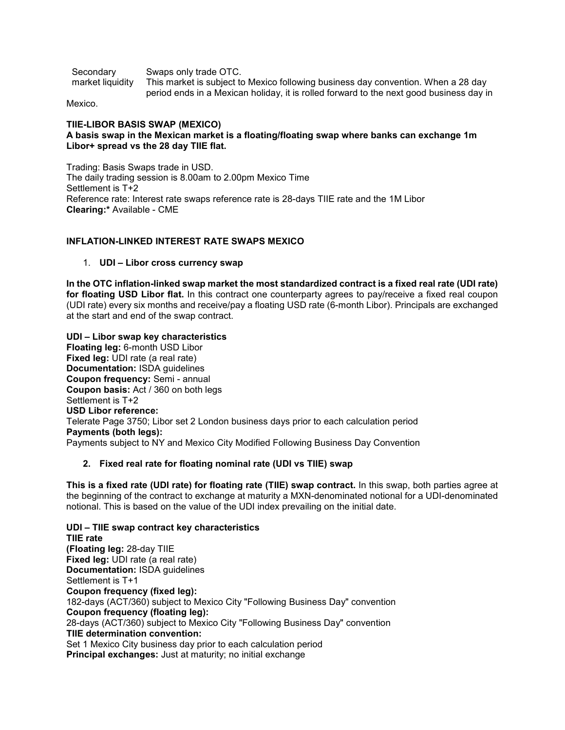| Secondary        | Swaps only trade OTC.                                                                   |
|------------------|-----------------------------------------------------------------------------------------|
| market liquidity | This market is subject to Mexico following business day convention. When a 28 day       |
|                  | period ends in a Mexican holiday, it is rolled forward to the next good business day in |

Mexico.

# **TIIE-LIBOR BASIS SWAP (MEXICO)**

## **A basis swap in the Mexican market is a floating/floating swap where banks can exchange 1m Libor+ spread vs the 28 day TIIE flat.**

Trading: Basis Swaps trade in USD. The daily trading session is 8.00am to 2.00pm Mexico Time Settlement is T+2 Reference rate: Interest rate swaps reference rate is 28-days TIIE rate and the 1M Libor **Clearing:\*** Available - CME

## **INFLATION-LINKED INTEREST RATE SWAPS MEXICO**

## 1. **UDI – Libor cross currency swap**

**In the OTC inflation-linked swap market the most standardized contract is a fixed real rate (UDI rate) for floating USD Libor flat.** In this contract one counterparty agrees to pay/receive a fixed real coupon (UDI rate) every six months and receive/pay a floating USD rate (6-month Libor). Principals are exchanged at the start and end of the swap contract.

**UDI – Libor swap key characteristics Floating leg:** 6-month USD Libor **Fixed leg: UDI rate (a real rate) Documentation:** ISDA guidelines **Coupon frequency:** Semi - annual **Coupon basis:** Act / 360 on both legs Settlement is T+2 **USD Libor reference:** Telerate Page 3750; Libor set 2 London business days prior to each calculation period **Payments (both legs):** Payments subject to NY and Mexico City Modified Following Business Day Convention

## **2. Fixed real rate for floating nominal rate (UDI vs TIIE) swap**

**This is a fixed rate (UDI rate) for floating rate (TIIE) swap contract.** In this swap, both parties agree at the beginning of the contract to exchange at maturity a MXN-denominated notional for a UDI-denominated notional. This is based on the value of the UDI index prevailing on the initial date.

**UDI – TIIE swap contract key characteristics TIIE rate (Floating leg:** 28-day TIIE **Fixed leg:** UDI rate (a real rate) **Documentation:** ISDA guidelines Settlement is T+1 **Coupon frequency (fixed leg):** 182-days (ACT/360) subject to Mexico City "Following Business Day" convention **Coupon frequency (floating leg):** 28-days (ACT/360) subject to Mexico City "Following Business Day" convention **TIIE determination convention:** Set 1 Mexico City business day prior to each calculation period **Principal exchanges:** Just at maturity; no initial exchange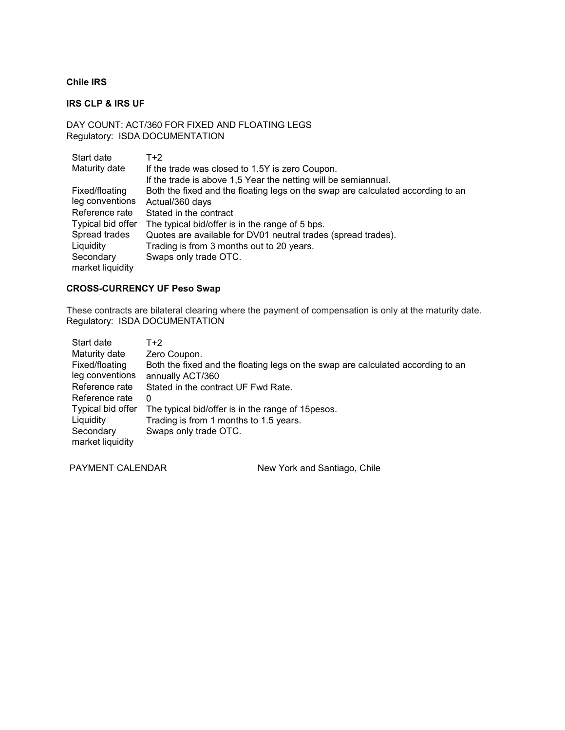## **Chile IRS**

## **IRS CLP & IRS UF**

## DAY COUNT: ACT/360 FOR FIXED AND FLOATING LEGS Regulatory: ISDA DOCUMENTATION

| Start date                    | T+2                                                                             |
|-------------------------------|---------------------------------------------------------------------------------|
| Maturity date                 | If the trade was closed to 1.5Y is zero Coupon.                                 |
|                               | If the trade is above 1,5 Year the netting will be semiannual.                  |
| Fixed/floating                | Both the fixed and the floating legs on the swap are calculated according to an |
| leg conventions               | Actual/360 days                                                                 |
| Reference rate                | Stated in the contract                                                          |
| Typical bid offer             | The typical bid/offer is in the range of 5 bps.                                 |
| Spread trades                 | Quotes are available for DV01 neutral trades (spread trades).                   |
| Liquidity                     | Trading is from 3 months out to 20 years.                                       |
| Secondary<br>market liquidity | Swaps only trade OTC.                                                           |

## **CROSS-CURRENCY UF Peso Swap**

These contracts are bilateral clearing where the payment of compensation is only at the maturity date. Regulatory: ISDA DOCUMENTATION

| Start date                    | T+2                                                                             |
|-------------------------------|---------------------------------------------------------------------------------|
| Maturity date                 | Zero Coupon.                                                                    |
| Fixed/floating                | Both the fixed and the floating legs on the swap are calculated according to an |
| leg conventions               | annually ACT/360                                                                |
| Reference rate                | Stated in the contract UF Fwd Rate.                                             |
| Reference rate                | 0                                                                               |
| Typical bid offer             | The typical bid/offer is in the range of 15 pesos.                              |
| Liquidity                     | Trading is from 1 months to 1.5 years.                                          |
| Secondary<br>market liquidity | Swaps only trade OTC.                                                           |

PAYMENT CALENDAR New York and Santiago, Chile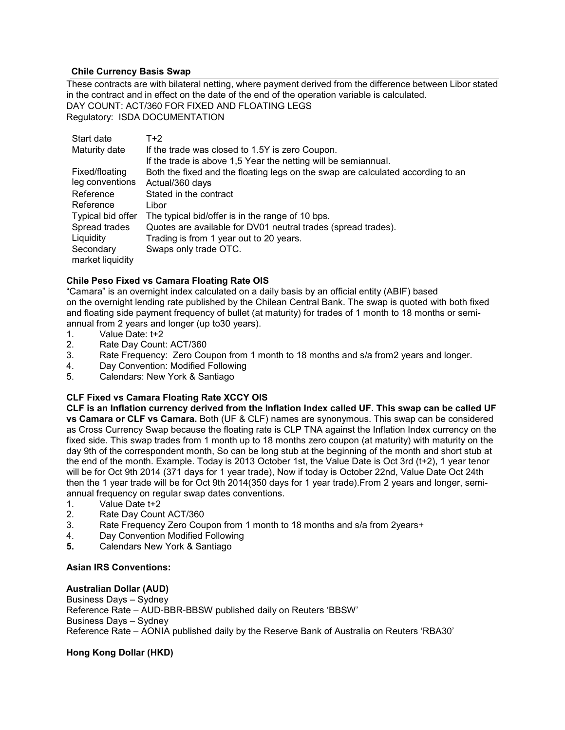## **Chile Currency Basis Swap**

These contracts are with bilateral netting, where payment derived from the difference between Libor stated in the contract and in effect on the date of the end of the operation variable is calculated. DAY COUNT: ACT/360 FOR FIXED AND FLOATING LEGS Regulatory: ISDA DOCUMENTATION

| Start date        | $T+2$                                                                           |
|-------------------|---------------------------------------------------------------------------------|
| Maturity date     | If the trade was closed to 1.5Y is zero Coupon.                                 |
|                   | If the trade is above 1,5 Year the netting will be semiannual.                  |
| Fixed/floating    | Both the fixed and the floating legs on the swap are calculated according to an |
| leg conventions   | Actual/360 days                                                                 |
| Reference         | Stated in the contract                                                          |
| Reference         | Libor                                                                           |
| Typical bid offer | The typical bid/offer is in the range of 10 bps.                                |
| Spread trades     | Quotes are available for DV01 neutral trades (spread trades).                   |
| Liquidity         | Trading is from 1 year out to 20 years.                                         |
| Secondary         | Swaps only trade OTC.                                                           |
| market liquidity  |                                                                                 |

## **Chile Peso Fixed vs Camara Floating Rate OIS**

"Camara" is an overnight index calculated on a daily basis by an official entity (ABIF) based on the overnight lending rate published by the Chilean Central Bank. The swap is quoted with both fixed and floating side payment frequency of bullet (at maturity) for trades of 1 month to 18 months or semiannual from 2 years and longer (up to30 years).

- 1. Value Date: t+2<br>2. Rate Dav Count
- 2. Rate Day Count: ACT/360<br>3. Rate Frequency: Zero Cou
- Rate Frequency: Zero Coupon from 1 month to 18 months and s/a from2 years and longer.
- 4. Day Convention: Modified Following<br>5. Calendars: New York & Santiago
- 5. Calendars: New York & Santiago

## **CLF Fixed vs Camara Floating Rate XCCY OIS**

**CLF is an Inflation currency derived from the Inflation Index called UF. This swap can be called UF vs Camara or CLF vs Camara.** Both (UF & CLF) names are synonymous. This swap can be considered as Cross Currency Swap because the floating rate is CLP TNA against the Inflation Index currency on the fixed side. This swap trades from 1 month up to 18 months zero coupon (at maturity) with maturity on the day 9th of the correspondent month, So can be long stub at the beginning of the month and short stub at the end of the month. Example. Today is 2013 October 1st, the Value Date is Oct 3rd (t+2), 1 year tenor will be for Oct 9th 2014 (371 days for 1 year trade), Now if today is October 22nd, Value Date Oct 24th then the 1 year trade will be for Oct 9th 2014(350 days for 1 year trade).From 2 years and longer, semiannual frequency on regular swap dates conventions.

- 1. Value Date t+2
- 2. Rate Day Count ACT/360
- 3. Rate Frequency Zero Coupon from 1 month to 18 months and s/a from 2years+
- 4. Day Convention Modified Following
- **5.** Calendars New York & Santiago

## **Asian IRS Conventions:**

## **Australian Dollar (AUD)**

Business Days – Sydney Reference Rate – AUD-BBR-BBSW published daily on Reuters 'BBSW' Business Days – Sydney Reference Rate – AONIA published daily by the Reserve Bank of Australia on Reuters 'RBA30'

## **Hong Kong Dollar (HKD)**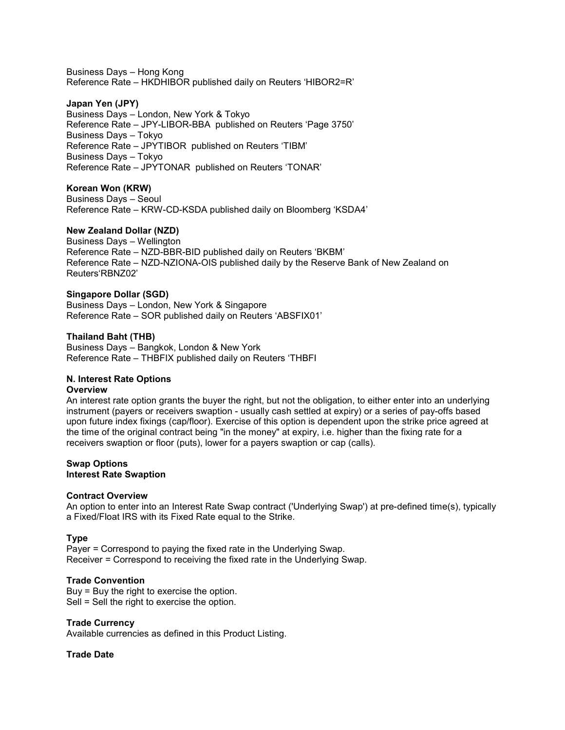Business Days – Hong Kong Reference Rate – HKDHIBOR published daily on Reuters 'HIBOR2=R'

### **Japan Yen (JPY)**

Business Days – London, New York & Tokyo Reference Rate – JPY-LIBOR-BBA published on Reuters 'Page 3750' Business Days – Tokyo Reference Rate – JPYTIBOR published on Reuters 'TIBM' Business Days – Tokyo Reference Rate – JPYTONAR published on Reuters 'TONAR'

## **Korean Won (KRW)**

Business Days – Seoul Reference Rate – KRW-CD-KSDA published daily on Bloomberg 'KSDA4'

## **New Zealand Dollar (NZD)**

Business Days – Wellington Reference Rate – NZD-BBR-BID published daily on Reuters 'BKBM' Reference Rate – NZD-NZIONA-OIS published daily by the Reserve Bank of New Zealand on Reuters'RBNZ02'

#### **Singapore Dollar (SGD)**

Business Days – London, New York & Singapore Reference Rate – SOR published daily on Reuters 'ABSFIX01'

#### **Thailand Baht (THB)**

Business Days – Bangkok, London & New York Reference Rate – THBFIX published daily on Reuters 'THBFI

#### **N. Interest Rate Options Overview**

An interest rate option grants the buyer the right, but not the obligation, to either enter into an underlying instrument (payers or receivers swaption - usually cash settled at expiry) or a series of pay-offs based upon future index fixings (cap/floor). Exercise of this option is dependent upon the strike price agreed at the time of the original contract being "in the money" at expiry, i.e. higher than the fixing rate for a receivers swaption or floor (puts), lower for a payers swaption or cap (calls).

#### **Swap Options Interest Rate Swaption**

#### **Contract Overview**

An option to enter into an Interest Rate Swap contract ('Underlying Swap') at pre-defined time(s), typically a Fixed/Float IRS with its Fixed Rate equal to the Strike.

#### **Type**

Payer = Correspond to paying the fixed rate in the Underlying Swap. Receiver = Correspond to receiving the fixed rate in the Underlying Swap.

#### **Trade Convention**

Buy = Buy the right to exercise the option. Sell = Sell the right to exercise the option.

#### **Trade Currency**

Available currencies as defined in this Product Listing.

#### **Trade Date**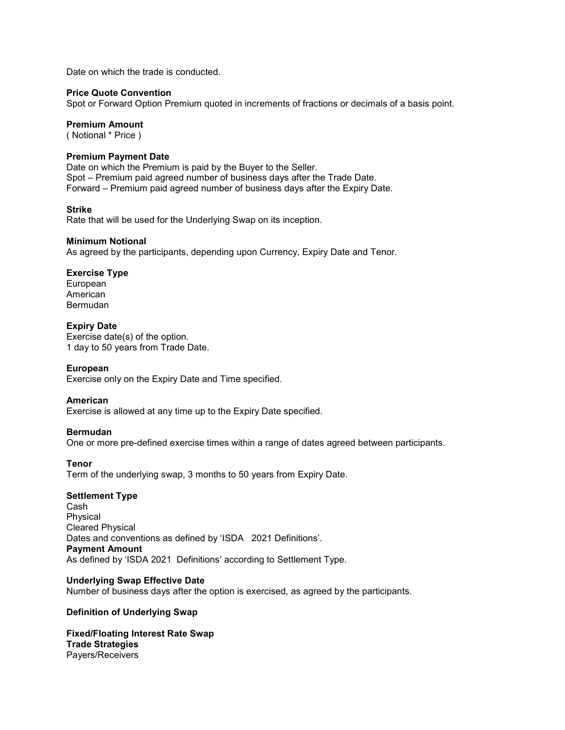Date on which the trade is conducted.

#### **Price Quote Convention**

Spot or Forward Option Premium quoted in increments of fractions or decimals of a basis point.

#### **Premium Amount**

( Notional \* Price )

#### **Premium Payment Date**

Date on which the Premium is paid by the Buyer to the Seller. Spot – Premium paid agreed number of business days after the Trade Date. Forward – Premium paid agreed number of business days after the Expiry Date.

#### **Strike**

Rate that will be used for the Underlying Swap on its inception.

#### **Minimum Notional**

As agreed by the participants, depending upon Currency, Expiry Date and Tenor.

## **Exercise Type**

European American Bermudan

#### **Expiry Date**

Exercise date(s) of the option. 1 day to 50 years from Trade Date.

#### **European**

Exercise only on the Expiry Date and Time specified.

#### **American**

Exercise is allowed at any time up to the Expiry Date specified.

#### **Bermudan**

One or more pre-defined exercise times within a range of dates agreed between participants.

#### **Tenor**

Term of the underlying swap, 3 months to 50 years from Expiry Date.

#### **Settlement Type**

Cash Physical Cleared Physical Dates and conventions as defined by 'ISDA 2021 Definitions'. **Payment Amount** As defined by 'ISDA 2021 Definitions' according to Settlement Type.

#### **Underlying Swap Effective Date**

Number of business days after the option is exercised, as agreed by the participants.

#### **Definition of Underlying Swap**

**Fixed/Floating Interest Rate Swap Trade Strategies** Payers/Receivers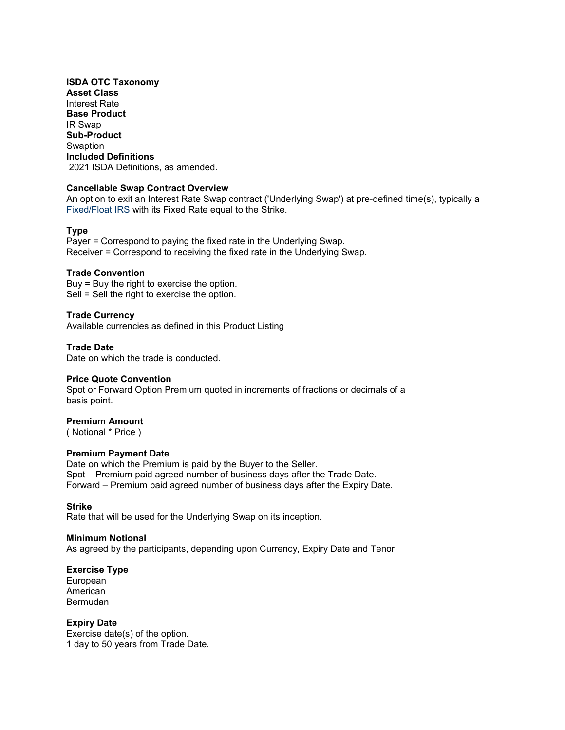**ISDA OTC Taxonomy Asset Class**  Interest Rate **Base Product**  IR Swap **Sub-Product Swaption Included Definitions** 2021 ISDA Definitions, as amended.

#### **Cancellable Swap Contract Overview**

An option to exit an Interest Rate Swap contract ('Underlying Swap') at pre-defined time(s), typically a Fixed/Float IRS with its Fixed Rate equal to the Strike.

#### **Type**

Payer = Correspond to paying the fixed rate in the Underlying Swap. Receiver = Correspond to receiving the fixed rate in the Underlying Swap.

## **Trade Convention**

Buy = Buy the right to exercise the option. Sell = Sell the right to exercise the option.

#### **Trade Currency**

Available currencies as defined in this Product Listing

#### **Trade Date**

Date on which the trade is conducted.

#### **Price Quote Convention**

Spot or Forward Option Premium quoted in increments of fractions or decimals of a basis point.

#### **Premium Amount**

( Notional \* Price )

#### **Premium Payment Date**

Date on which the Premium is paid by the Buyer to the Seller. Spot – Premium paid agreed number of business days after the Trade Date. Forward – Premium paid agreed number of business days after the Expiry Date.

#### **Strike**

Rate that will be used for the Underlying Swap on its inception.

#### **Minimum Notional**

As agreed by the participants, depending upon Currency, Expiry Date and Tenor

#### **Exercise Type**

European American Bermudan

#### **Expiry Date**

Exercise date(s) of the option. 1 day to 50 years from Trade Date.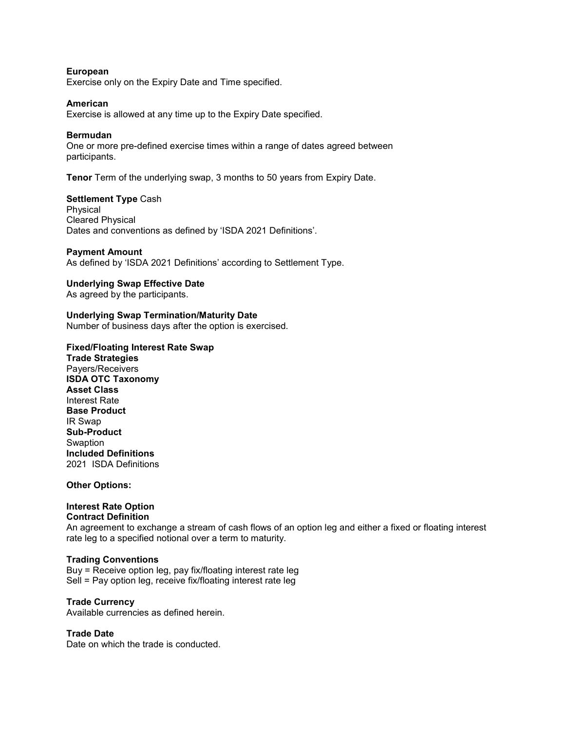#### **European**

Exercise only on the Expiry Date and Time specified.

#### **American**

Exercise is allowed at any time up to the Expiry Date specified.

#### **Bermudan**

One or more pre-defined exercise times within a range of dates agreed between participants.

**Tenor** Term of the underlying swap, 3 months to 50 years from Expiry Date.

#### **Settlement Type** Cash

Physical Cleared Physical Dates and conventions as defined by 'ISDA 2021 Definitions'.

#### **Payment Amount**

As defined by 'ISDA 2021 Definitions' according to Settlement Type.

#### **Underlying Swap Effective Date**

As agreed by the participants.

#### **Underlying Swap Termination/Maturity Date**

Number of business days after the option is exercised.

#### **Fixed/Floating Interest Rate Swap**

**Trade Strategies**  Payers/Receivers **ISDA OTC Taxonomy Asset Class** Interest Rate **Base Product**  IR Swap **Sub-Product Swaption Included Definitions**  2021 ISDA Definitions

#### **Other Options:**

#### **Interest Rate Option Contract Definition**

An agreement to exchange a stream of cash flows of an option leg and either a fixed or floating interest rate leg to a specified notional over a term to maturity.

#### **Trading Conventions**

Buy = Receive option leg, pay fix/floating interest rate leg Sell = Pay option leg, receive fix/floating interest rate leg

#### **Trade Currency**

Available currencies as defined herein.

## **Trade Date**

Date on which the trade is conducted.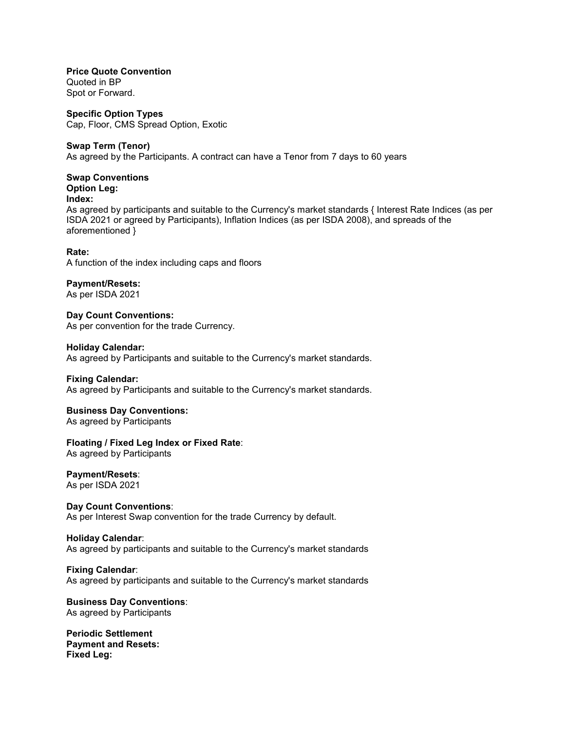**Price Quote Convention** Quoted in BP

Spot or Forward.

**Specific Option Types** Cap, Floor, CMS Spread Option, Exotic

## **Swap Term (Tenor)**

As agreed by the Participants. A contract can have a Tenor from 7 days to 60 years

## **Swap Conventions**

**Option Leg: Index:** 

As agreed by participants and suitable to the Currency's market standards { Interest Rate Indices (as per ISDA 2021 or agreed by Participants), Inflation Indices (as per ISDA 2008), and spreads of the aforementioned }

## **Rate:**

A function of the index including caps and floors

## **Payment/Resets:**

As per ISDA 2021

**Day Count Conventions:**  As per convention for the trade Currency.

**Holiday Calendar:**  As agreed by Participants and suitable to the Currency's market standards.

#### **Fixing Calendar:**

As agreed by Participants and suitable to the Currency's market standards.

## **Business Day Conventions:**

As agreed by Participants

## **Floating / Fixed Leg Index or Fixed Rate**:

As agreed by Participants

## **Payment/Resets**:

As per ISDA 2021

## **Day Count Conventions**:

As per Interest Swap convention for the trade Currency by default.

#### **Holiday Calendar**:

As agreed by participants and suitable to the Currency's market standards

#### **Fixing Calendar**:

As agreed by participants and suitable to the Currency's market standards

## **Business Day Conventions**: As agreed by Participants

**Periodic Settlement Payment and Resets: Fixed Leg:**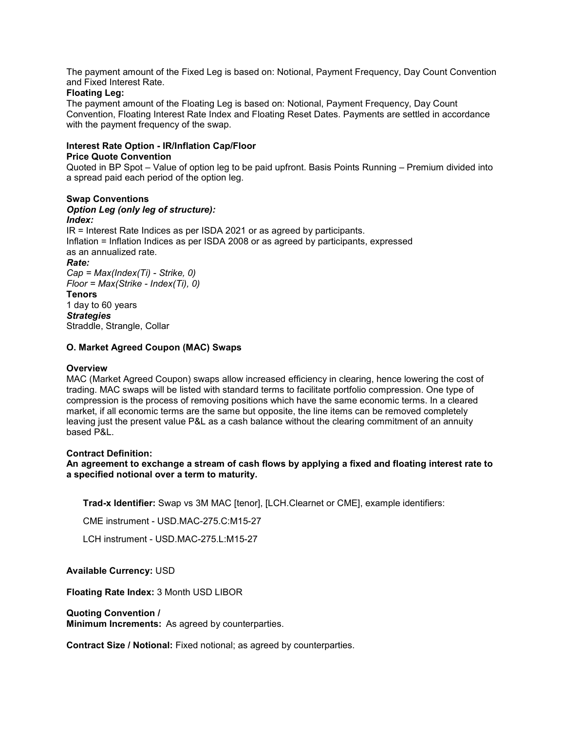The payment amount of the Fixed Leg is based on: Notional, Payment Frequency, Day Count Convention and Fixed Interest Rate.

## **Floating Leg:**

The payment amount of the Floating Leg is based on: Notional, Payment Frequency, Day Count Convention, Floating Interest Rate Index and Floating Reset Dates. Payments are settled in accordance with the payment frequency of the swap.

## **Interest Rate Option - IR/Inflation Cap/Floor Price Quote Convention**

Quoted in BP Spot – Value of option leg to be paid upfront. Basis Points Running – Premium divided into a spread paid each period of the option leg.

#### **Swap Conventions** *Option Leg (only leg of structure): Index:* IR = Interest Rate Indices as per ISDA 2021 or as agreed by participants. Inflation = Inflation Indices as per ISDA 2008 or as agreed by participants, expressed as an annualized rate. *Rate: Cap = Max(Index(Ti) - Strike, 0) Floor = Max(Strike - Index(Ti), 0)* **Tenors**  1 day to 60 years

*Strategies*  Straddle, Strangle, Collar

## **O. Market Agreed Coupon (MAC) Swaps**

### **Overview**

MAC (Market Agreed Coupon) swaps allow increased efficiency in clearing, hence lowering the cost of trading. MAC swaps will be listed with standard terms to facilitate portfolio compression. One type of compression is the process of removing positions which have the same economic terms. In a cleared market, if all economic terms are the same but opposite, the line items can be removed completely leaving just the present value P&L as a cash balance without the clearing commitment of an annuity based P&L.

#### **Contract Definition:**

**An agreement to exchange a stream of cash flows by applying a fixed and floating interest rate to a specified notional over a term to maturity.**

**Trad-x Identifier:** Swap vs 3M MAC [tenor], [LCH.Clearnet or CME], example identifiers:

CME instrument - USD.MAC-275.C:M15-27

LCH instrument - USD.MAC-275.L:M15-27

## **Available Currency:** USD

**Floating Rate Index:** 3 Month USD LIBOR

#### **Quoting Convention /**

**Minimum Increments:** As agreed by counterparties.

**Contract Size / Notional:** Fixed notional; as agreed by counterparties.